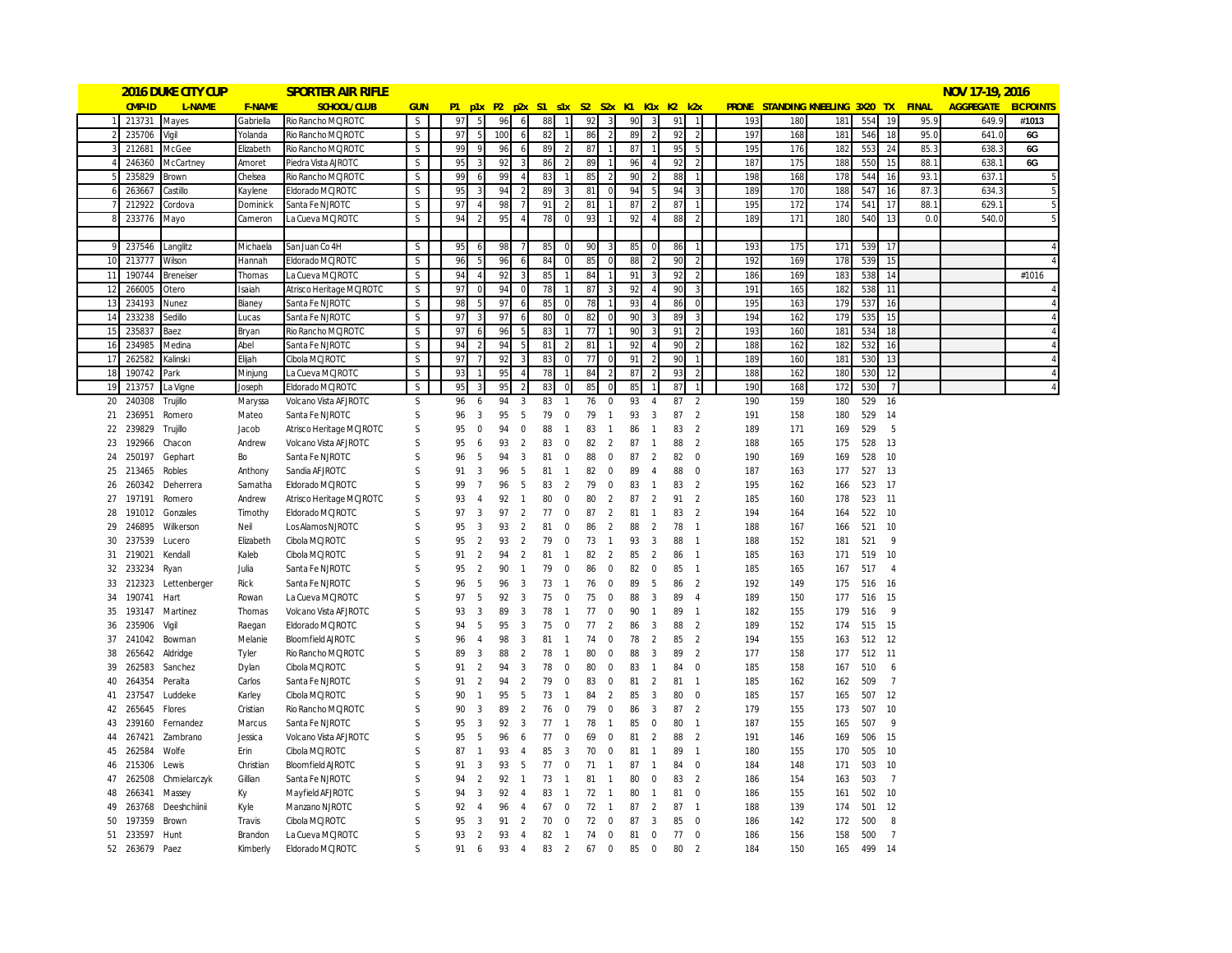|             |           | <b>2016 DUKE CITY CUP</b> |                 | <b>SPORTER AIR RIFLE</b>                       |                   |          |                     |     |                     |          |                     |          |                               |                                           |                     |    |                                  |     |     |                                              |            |                |      | NOV 17-19, 2016  |                  |
|-------------|-----------|---------------------------|-----------------|------------------------------------------------|-------------------|----------|---------------------|-----|---------------------|----------|---------------------|----------|-------------------------------|-------------------------------------------|---------------------|----|----------------------------------|-----|-----|----------------------------------------------|------------|----------------|------|------------------|------------------|
|             | CMP-ID    | L-NAME                    | <b>F-NAME</b>   | SCHOOL/CLUB                                    | <b>GUN</b>        |          |                     |     |                     |          |                     |          |                               | P1 p1x P2 p2x S1 s1x S2 S2x K1 K1x K2 k2x |                     |    |                                  |     |     | <b>PRONE STANDING KNEELING 3X20 TX FINAL</b> |            |                |      | <b>AGGREGATE</b> | <b>EICPOINTS</b> |
|             | 213731    | Mayes                     | Gabriella       | Rio Rancho MCJROTC                             | S                 | 97       | 5                   | 96  | 6                   | 88       | $\mathbf{1}$        | 92       | $\overline{3}$                | 90                                        | 3                   | 91 | $\overline{1}$                   | 193 | 180 | 181                                          | 554        | 19             | 95.9 | 649.9            | #1013            |
|             | 235706    | /igil                     | Yolanda         | Rio Rancho MCJROTC                             | S                 | 97       |                     | 100 |                     | 82       |                     | 86       |                               | 89                                        |                     | 92 | $\overline{z}$                   | 197 | 168 | 181                                          | 546        | 18             | 95.0 | 641.0            | 6G               |
|             | 212681    | McGee                     | Elizabeth       | Rio Rancho MCJROTC                             | S                 | 99       | $\mathbf Q$         | 96  | $\overline{a}$      | 89       | -2                  | 87       | $\overline{1}$                | 87                                        |                     | 95 | 5                                | 195 | 176 | 182                                          | 553        | 24             | 85.3 | 638.3            | 6G               |
|             | 246360    | McCartney                 | Amoret          | Piedra Vista AJROTC                            | S                 | 95       |                     | 92  |                     | 86       |                     | 89       |                               | 96                                        |                     | 92 | -2                               | 187 | 175 | 188                                          | 550        | 15             | 88.1 | 638.             | 6G               |
|             | 235829    | Brown                     | Chelsea         | Rio Rancho MCJROTC                             | S                 | 99       | -6                  | 99  |                     | 83       |                     | 85       |                               | 90                                        |                     | 88 |                                  | 198 | 168 | 178                                          | 544        | 16             | 93.1 | 637.1            |                  |
|             | 263667    | Castillo                  | Kaylene         | Eldorado MCJROTC                               | S                 | 95       | 3                   | 94  |                     | 89       |                     | 81       | $\mathbf 0$                   | 94                                        |                     | 94 | 3                                | 189 | 170 | 188                                          | 547        | 16             | 87.3 | 634.3            |                  |
|             | 212922    | Cordova                   | <b>Dominick</b> | Santa Fe NJROTC                                | S.                | 97       | $\overline{A}$      | 98  |                     | 91       |                     | 81       |                               | 87                                        |                     | 87 |                                  | 195 | 172 | 174                                          | 541        | 17             | 88.1 | 629.             |                  |
|             | 233776    | Mayo                      | Cameron         | La Cueva MCJROTC                               | S                 | 94       | 2                   | 95  |                     | 78       | C                   | 93       |                               | 92                                        |                     | 88 | $\overline{2}$                   | 189 | 171 | 180                                          | 540        | 13             | 0.0  | 540.0            |                  |
|             |           |                           |                 |                                                |                   |          |                     |     |                     |          |                     |          |                               |                                           |                     |    |                                  |     |     |                                              |            |                |      |                  |                  |
| $\mathbf Q$ | 237546    | Langlitz                  | Michaela        | San Juan Co 4H                                 | S.                | 95       |                     | 98  |                     | 85       | $\mathsf{C}$        | 90       |                               | 85                                        |                     | 86 |                                  | 193 | 175 | 171                                          | 539        | 17             |      |                  |                  |
| 10          | 213777    | Wilson                    | Hannah          | Eldorado MCJROTC                               | S                 | 96       | -5                  | 96  | 6                   | 84       | $\mathsf{C}$        | 85       | $\mathbf 0$                   | 88                                        |                     | 90 | $\mathcal{P}$                    | 192 | 169 | 178                                          | 539        | 15             |      |                  |                  |
| 11          | 190744    | <b>Breneiser</b>          | Thomas          | La Cueva MCJROTC                               | S                 | 94       | $\overline{A}$      | 92  | 3                   | 85       |                     | 84       |                               | 91                                        |                     | 92 | p                                | 186 | 169 | 183                                          | 538        | 14             |      |                  | #1016            |
| 12          | 266005    | Otero                     | Isaiah          | Atrisco Heritage MCJROTC                       | S                 | 97       |                     | 94  |                     | 78       |                     | 87       |                               | 92                                        |                     | 90 |                                  | 191 | 165 | 182                                          | 538        | 11             |      |                  |                  |
| 13          | 234193    | Nunez                     | Bianey          | Santa Fe NJROTC                                | S                 | 98       | 5                   | 97  | $\sqrt{2}$          | 85       | $\mathsf{C}$        | 78       |                               | 93                                        |                     | 86 | $\Omega$                         | 195 | 163 | 179                                          | 537        | 16             |      |                  |                  |
| 14          | 233238    | Sedillo                   | Lucas           | Santa Fe NJROTC                                | S                 | 97       | 3                   | 97  |                     | 80       | C                   | 82       |                               | 90                                        |                     | 89 | 3                                | 194 | 162 | 179                                          | 535        | 15             |      |                  |                  |
| 15          | 235837    | Baez                      | Brvan           | Rio Rancho MCJROTC                             | S                 | 97       | 6                   | 96  |                     | 83       |                     | 77       |                               | 90                                        |                     | 91 | 2                                | 193 | 160 | 181                                          | 534        | 18             |      |                  |                  |
| 16          | 234985    | Medina                    | Abel            | Santa Fe NJROTC                                | S                 | 94       | $\mathcal{P}$       | 94  |                     | 81       |                     | 81       |                               | 92                                        |                     | 90 | $\mathfrak{p}$                   | 188 | 162 | 182                                          | 532        | 16             |      |                  | $\overline{4}$   |
| 17          | 262582    | Kalinski                  | Elijah          | Cibola MCJROTC                                 | S                 | 97       | $\overline{7}$      | 92  |                     | 83       |                     | 77       | $\Omega$                      | 91                                        |                     | 90 |                                  | 189 | 160 | 181                                          | 530        | 13             |      |                  |                  |
| 18          | 190742    | Park                      | Minjung         | La Cueva MCJROTC                               | S                 | 93       |                     | 95  |                     | 78       |                     | 84       |                               | 87                                        |                     | 93 | $\overline{z}$                   | 188 | 162 | 180                                          | 530        | 12             |      |                  | $\overline{A}$   |
| 19          | 213757    | a Vigne                   | Joseph          | Eldorado MCJROTC                               | S                 | 95       |                     | 95  |                     | 83       |                     | 85       |                               | 85                                        |                     | 87 |                                  | 190 | 168 | 172                                          | 530        |                |      |                  |                  |
| 20          | 240308    | Trujillo                  | Maryssa         | Volcano Vista AFJROTC                          | S                 | 96       | 6                   | 94  | 3                   | 83       | -1                  | 76       | $\mathbf 0$                   | 93                                        | $\overline{A}$      | 87 | $\overline{2}$                   | 190 | 159 | 180                                          | 529        | 16             |      |                  |                  |
| 21          | 236951    | Romero                    | Mateo           | Santa Fe NJROTC                                | S                 | 96       | 3                   | 95  | 5                   | 79       | $\mathbf 0$         | 79       | $\overline{1}$                | 93                                        | 3                   | 87 | $\overline{2}$                   | 191 | 158 | 180                                          | 529        | -14            |      |                  |                  |
| 22          | 239829    | Trujillo                  | Jacob           | Atrisco Heritage MCJROTC                       | S                 | 95       | $\mathbf 0$         | 94  | $\mathbf 0$         | 88       | $\overline{1}$      | 83       | $\mathbf{1}$                  | 86                                        | $\mathbf{1}$        | 83 | 2                                | 189 | 171 | 169                                          | 529        | 5              |      |                  |                  |
| 23          | 192966    | Chacon                    | Andrew          | Volcano Vista AF JROTC                         | S                 | 95       | 6                   | 93  | 2                   | 83       | $\mathbf 0$         | 82       | $\overline{2}$                | 87                                        | $\overline{1}$      | 88 | $\overline{2}$                   | 188 | 165 | 175                                          | 528        | 13             |      |                  |                  |
| 24          | 250197    | Gephart                   | Bo              | Santa Fe NJROTC                                | S                 | 96       | 5                   | 94  | 3                   | 81       | 0                   | 88       | $\mathbf 0$                   | 87                                        | $\overline{2}$      | 82 | $\Omega$                         | 190 | 169 | 169                                          | 528        | 10             |      |                  |                  |
| 25          | 213465    | Robles                    | Anthony         | Sandia AFJROTC                                 | S                 | 91       | 3                   | 96  | 5                   | 81       | $\overline{1}$      | 82       | $\mathbf 0$                   | 89                                        | $\overline{4}$      | 88 | $\overline{0}$                   | 187 | 163 | 177                                          | 527        | 13             |      |                  |                  |
| 26          | 260342    | Deherrera                 | Samatha         | Eldorado MCJROTC                               | <sub>S</sub>      | 99       | $\overline{7}$      | 96  | 5                   | 83       | 2                   | 79       | $\mathbf 0$                   | 83                                        |                     | 83 | $\mathcal{P}$                    | 195 | 162 | 166                                          | 523        | 17             |      |                  |                  |
| 27          | 197191    | Romero                    | Andrew          | Atrisco Heritage MCJROTC                       | S                 | 93       | $\overline{4}$      | 92  | $\overline{1}$      | 80       | $\mathbf 0$         | 80       | $\overline{2}$                | 87                                        | $\overline{2}$      | 91 | $\overline{2}$                   | 185 | 160 | 178                                          | 523        | 11             |      |                  |                  |
| 28          | 191012    | Gonzales                  | Timothy         | Eldorado MCJROTC                               | <sub>S</sub>      | 97       | 3                   | 97  | 2                   | 77       | $\mathbf 0$         | 87       | $\overline{2}$                | 81                                        | $\mathbf{1}$        | 83 | $\overline{2}$                   | 194 | 164 | 164                                          | 522        | 10             |      |                  |                  |
| 29          | 246895    | Wilkerson                 | Neil            | Los Alamos NJROTC                              | S                 | 95       | 3                   | 93  | 2                   | 81       | $\mathbf 0$         | 86       | $\overline{2}$                | 88                                        | $\overline{2}$      | 78 | $\overline{1}$                   | 188 | 167 | 166                                          | 521        | 10             |      |                  |                  |
| 30          | 237539    | Lucero                    | Elizabeth       | Cibola MCJROTC                                 | S                 | 95       | 2                   | 93  | $\overline{2}$      | 79       | $\mathbf 0$         | 73       | $\overline{1}$                | 93                                        | 3                   | 88 | $\overline{1}$                   | 188 | 152 | 181                                          | 521        | 9              |      |                  |                  |
| 31          | 219021    | Kendall                   | Kaleb           | Cibola MCJROTC                                 | <sub>S</sub>      | 91       | $\overline{2}$      | 94  | 2                   | 81       | $\overline{1}$      | 82       | 2                             | 85                                        | $\overline{2}$      | 86 | $\overline{1}$                   | 185 | 163 | 171                                          | 519        | 10             |      |                  |                  |
| 32          | 233234    |                           | Julia           | Santa Fe NJROTC                                | S                 | 95       | $\overline{2}$      | 90  | $\overline{1}$      | 79       | $\mathbf 0$         | 86       | $\mathbf 0$                   | 82                                        | $\mathbf 0$         | 85 | -1                               | 185 | 165 | 167                                          | 517        | $\overline{4}$ |      |                  |                  |
| 33          | 212323    | Ryan<br>Lettenberger      | <b>Rick</b>     | Santa Fe NJROTC                                | S                 | 96       | 5                   | 96  | 3                   | 73       | $\overline{1}$      | 76       | $\mathbf 0$                   | 89                                        | -5                  | 86 | $\overline{2}$                   | 192 | 149 | 175                                          | 516        | 16             |      |                  |                  |
| 34          | 190741    | Hart                      | Rowan           | La Cueva MCJROTC                               | S                 | 97       | 5                   | 92  | 3                   | 75       | 0                   | 75       | $\mathbf 0$                   | 88                                        | 3                   | 89 | $\overline{4}$                   | 189 | 150 | 177                                          | 516        | 15             |      |                  |                  |
| 35          | 193147    | Martinez                  | Thomas          | Volcano Vista AF JROTC                         | <sub>S</sub>      | 93       | 3                   | 89  | 3                   | 78       | $\overline{1}$      | 77       | $\mathbf 0$                   | 90                                        | $\mathbf{1}$        | 89 | $\overline{1}$                   | 182 | 155 | 179                                          | 516        | 9              |      |                  |                  |
| 36          |           |                           |                 | Eldorado MCJROTC                               | <sub>S</sub>      | 94       | 5                   | 95  | 3                   | 75       | $\mathbf 0$         | 77       | $\overline{2}$                | 86                                        | 3                   | 88 | $\overline{2}$                   | 189 | 152 | 174                                          | 515        | 15             |      |                  |                  |
|             | 235906    | Vigil                     | Raegan          |                                                | <sub>S</sub>      | 96       | $\overline{4}$      | 98  | 3                   | 81       | $\overline{1}$      | 74       | $\mathbf 0$                   | 78                                        | $\mathcal{P}$       | 85 | $\overline{2}$                   | 194 | 155 |                                              |            | 12             |      |                  |                  |
| 37          | 241042    | Bowman                    | Melanie         | <b>Bloomfield AJROTC</b><br>Rio Rancho MCJROTC | S                 | 89       | 3                   | 88  | $\overline{2}$      | 78       | $\overline{1}$      | 80       | $\mathbf 0$                   | 88                                        | 3                   | 89 | $\overline{2}$                   | 177 | 158 | 163<br>177                                   | 512<br>512 | $-11$          |      |                  |                  |
| 38<br>39    | 265642    | Aldridge                  | Tyler           | Cibola MCJROTC                                 | S                 | 91       | $\overline{2}$      | 94  | 3                   | 78       | $\mathbf 0$         | 80       | $\mathbf 0$                   | 83                                        | $\overline{1}$      | 84 | $\overline{0}$                   | 185 | 158 |                                              | 510        | 6              |      |                  |                  |
| 40          | 262583    | Sanchez<br>Peralta        | Dylan           | Santa Fe NJROTC                                | <sub>S</sub>      | 91       | $\overline{2}$      | 94  | $\mathfrak{p}$      | 79       | 0                   | 83       | $\mathbf 0$                   | 81                                        | 2                   | 81 | $\overline{1}$                   |     |     | 167                                          | 509        | $\overline{7}$ |      |                  |                  |
|             | 264354    |                           | Carlos          |                                                | <sub>S</sub>      | 90       | $\overline{1}$      |     |                     | 73       | $\overline{1}$      |          | $\overline{2}$                |                                           | 3                   | 80 | $\overline{0}$                   | 185 | 162 | 162                                          |            |                |      |                  |                  |
| 41          | 237547    | Luddeke                   | Karley          | Cibola MCJROTC                                 |                   |          |                     | 95  | 5<br>$\overline{2}$ |          |                     | 84<br>79 |                               | 85                                        |                     |    |                                  | 185 | 157 | 165                                          | 507        | 12             |      |                  |                  |
| 42          | 265645    | Flores                    | Cristian        | Rio Rancho MCJROTC                             | S<br>S            | 90<br>95 | 3                   | 89  | 3                   | 76<br>77 | 0<br>$\overline{1}$ |          | $\mathbf 0$<br>$\overline{1}$ | 86                                        | 3                   | 87 | $\overline{2}$<br>-1             | 179 | 155 | 173                                          | 507        | 10<br>9        |      |                  |                  |
| 43          | 239160    | Fernandez                 | Marcus          | Santa Fe NJROTC                                |                   |          | 3                   | 92  |                     |          |                     | 78       |                               | 85                                        | $\mathbf 0$         | 80 |                                  | 187 | 155 | 165                                          | 507        |                |      |                  |                  |
| 44          | 267421    | Zambrano                  | Jessica         | Volcano Vista AF JROTC                         | S<br><sub>S</sub> | 95       | 5<br>$\overline{1}$ | 96  | 6                   | 77       | 0                   | 69       | $\mathbf 0$                   | 81                                        | 2<br>$\overline{1}$ | 88 | $\overline{2}$<br>$\overline{1}$ | 191 | 146 | 169                                          | 506        | 15             |      |                  |                  |
| 45          | 262584    | Wolfe                     | Erin            | Cibola MCJROTC                                 |                   | 87       |                     | 93  | $\overline{4}$      | 85       | $\overline{3}$      | 70       | $\pmb{0}$                     | 81                                        |                     | 89 |                                  | 180 | 155 | 170                                          | 505        | 10             |      |                  |                  |
| 46          | 215306    | Lewis                     | Christian       | <b>Bloomfield AJROTC</b>                       | S                 | 91       | 3                   | 93  | 5                   | 77       | 0                   | 71       | $\mathbf{1}$                  | 87                                        | -1                  | 84 | $\mathbf 0$                      | 184 | 148 | 171                                          | 503        | 10             |      |                  |                  |
| 47          | 262508    | Chmielarczyk              | Gillian         | Santa Fe NJROTC                                | S                 | 94       | $\overline{2}$      | 92  | $\overline{1}$      | 73       | $\overline{1}$      | 81       | $\overline{1}$                | 80                                        | 0                   | 83 | $\overline{2}$                   | 186 | 154 | 163                                          | 503        | $\overline{7}$ |      |                  |                  |
| 48          | 266341    | Massey                    | Кy              | Mayfield AFJROTC                               | S                 | 94       | 3                   | 92  | $\overline{4}$      | 83       | -1                  | 72       | $\overline{1}$                | 80                                        | -1                  | 81 | $\mathbf 0$                      | 186 | 155 | 161                                          | 502        | 10             |      |                  |                  |
| 49          | 263768    | Deeshchiinii              | Kyle            | Manzano NJROTC                                 | <sub>S</sub>      | 92       | $\overline{4}$      | 96  | $\overline{4}$      | 67       | $\mathbf 0$         | 72       | $\overline{1}$                | 87                                        | 2                   | 87 | $\overline{1}$                   | 188 | 139 | 174                                          | 501        | 12             |      |                  |                  |
| 50          | 197359    | Brown                     | Travis          | Cibola MCJROTC                                 | <sub>S</sub>      | 95       | 3                   | 91  | $\overline{2}$      | 70       | $\mathbf 0$         | 72       | $\mathbf 0$                   | 87                                        | 3                   | 85 | $\mathbf 0$                      | 186 | 142 | 172                                          | 500        | $\mathsf{R}$   |      |                  |                  |
| 51          | 233597    | Hunt                      | Brandon         | La Cueva MCJROTC                               | <sub>S</sub>      | 93       | 2                   | 93  | $\overline{4}$      | 82       | $\overline{1}$      | 74       | $\mathbf 0$                   | 81                                        | 0                   | 77 | $\mathbf 0$                      | 186 | 156 | 158                                          | 500        | $\overline{7}$ |      |                  |                  |
|             | 52 263679 | Paez                      | Kimberly        | Eldorado MCJROTC                               | $\varsigma$       | 91       | 6                   | 93  | $\overline{4}$      | 83       | $\overline{2}$      | 67       | $\overline{0}$                | 85                                        | $\overline{0}$      | 80 | $\overline{2}$                   | 184 | 150 | 165                                          | 499        | 14             |      |                  |                  |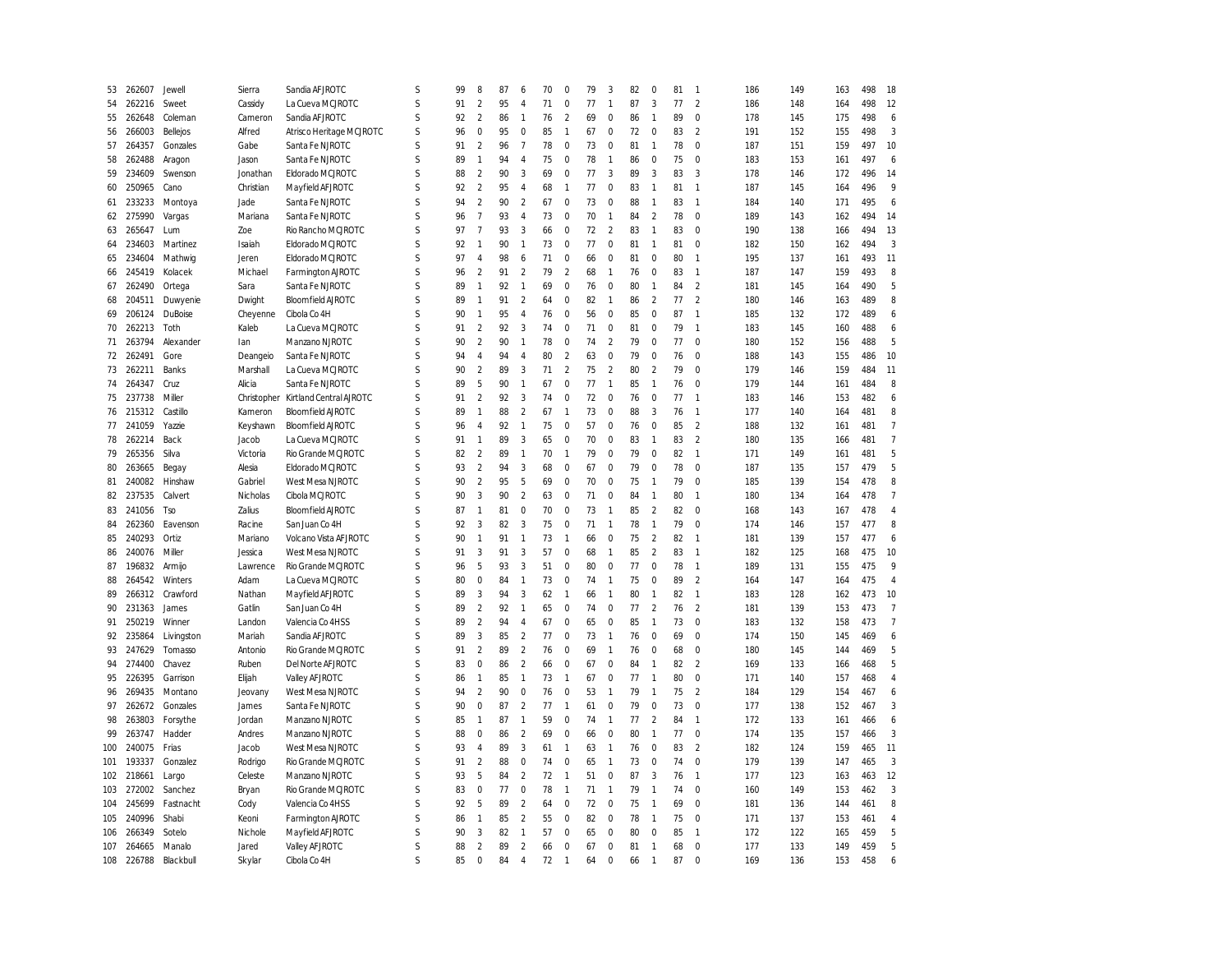| 53  | 262607     | Jewell           | Sierra         | Sandia AFJROTC                             | S | 99 | 8              | 87 | 6              | 70 | 0              | 79       | 3              | 82 | $\mathbf 0$    | 81 | $\overline{1}$ | 186 | 149        | 163 | 498        | 18             |
|-----|------------|------------------|----------------|--------------------------------------------|---|----|----------------|----|----------------|----|----------------|----------|----------------|----|----------------|----|----------------|-----|------------|-----|------------|----------------|
| 54  | 262216     | Sweet            | Cassidy        | La Cueva MCJROTC                           | S | 91 | $\overline{2}$ | 95 | $\overline{4}$ | 71 | 0              | 77       | $\mathbf{1}$   | 87 | 3              | 77 | $\overline{2}$ | 186 | 148        | 164 | 498        | 12             |
| 55  | 262648     | Coleman          | Cameron        | Sandia AFJROTC                             | S | 92 | $\overline{2}$ | 86 | $\mathbf{1}$   | 76 | $\overline{2}$ | 69       | $\mathbf 0$    | 86 | $\mathbf{1}$   | 89 | $\mathbf 0$    | 178 | 145        | 175 | 498        | 6              |
| 56  | 266003     | Bellejos         | Alfred         | Atrisco Heritage MCJROTC                   | S | 96 | $\mathbf 0$    | 95 | $\mathbf 0$    | 85 | $\mathbf{1}$   | 67       | $\mathbf 0$    | 72 | $\mathbf 0$    | 83 | $\overline{2}$ | 191 | 152        | 155 | 498        | 3              |
| 57  | 264357     | Gonzales         | Gabe           | Santa Fe NJROTC                            | S | 91 | $\overline{2}$ | 96 | $\overline{7}$ | 78 | $\mathbf{0}$   | 73       | $\mathbf 0$    | 81 | $\overline{1}$ | 78 | $\mathbf 0$    | 187 | 151        | 159 | 497        | 10             |
| 58  | 262488     | Aragon           | Jason          | Santa Fe NJROTC                            | S | 89 | $\mathbf{1}$   | 94 | $\overline{4}$ | 75 | 0              | 78       | $\mathbf{1}$   | 86 | 0              | 75 | $\mathbf 0$    | 183 | 153        | 161 | 497        | 6              |
| 59  | 234609     | Swenson          | Jonathan       | Eldorado MCJROTC                           | S | 88 | $\overline{2}$ | 90 | 3              | 69 | $\pmb{0}$      | 77       | 3              | 89 | 3              | 83 | 3              | 178 | 146        | 172 | 496        | 14             |
| 60  | 250965     | Cano             | Christian      | Mayfield AFJROTC                           | S | 92 | $\overline{2}$ | 95 | $\overline{4}$ | 68 | $\overline{1}$ | 77       | $\mathbf 0$    | 83 | $\overline{1}$ | 81 | $\overline{1}$ | 187 | 145        | 164 | 496        | 9              |
| 61  | 233233     | Montoya          | Jade           | Santa Fe NJROTC                            | S | 94 | $\overline{2}$ | 90 | $\overline{2}$ | 67 | 0              | 73       | $\mathbf 0$    | 88 | $\mathbf{1}$   | 83 | $\overline{1}$ | 184 | 140        | 171 | 495        | 6              |
| 62  | 275990     | Vargas           | Mariana        | Santa Fe NJROTC                            | S | 96 | $\overline{7}$ | 93 | $\overline{4}$ | 73 | $\mathbf 0$    | 70       | $\mathbf{1}$   | 84 | $\overline{2}$ | 78 | $\mathbf 0$    | 189 | 143        | 162 | 494        | 14             |
| 63  | 265647     | Lum              | Zoe            | Rio Rancho MCJROTC                         | S | 97 | $\overline{7}$ | 93 | 3              | 66 | $\mathbf{0}$   | 72       | $\overline{2}$ | 83 | $\mathbf{1}$   | 83 | $\mathbf 0$    | 190 | 138        | 166 | 494        | 13             |
| 64  | 234603     | Martinez         | Isaiah         | Eldorado MCJROTC                           | S | 92 | 1              | 90 | $\mathbf{1}$   | 73 | 0              | 77       | $\mathbf 0$    | 81 | 1              | 81 | $\mathbf 0$    | 182 | 150        | 162 | 494        | 3              |
| 65  | 234604     | Mathwig          | Jeren          | Eldorado MCJROTC                           | S | 97 | $\overline{A}$ | 98 | 6              | 71 | $\pmb{0}$      | 66       | $\pmb{0}$      | 81 | $\bf 0$        | 80 | $\overline{1}$ | 195 | 137        | 161 | 493        | 11             |
| 66  | 245419     | Kolacek          | Michael        | Farmington AJROTC                          | S | 96 | $\overline{2}$ | 91 | $\overline{2}$ | 79 | $\overline{2}$ | 68       | $\mathbf{1}$   | 76 | $\mathbf 0$    | 83 | $\overline{1}$ | 187 | 147        | 159 | 493        | 8              |
| 67  | 262490     | Ortega           | Sara           | Santa Fe NJROTC                            | S | 89 |                | 92 | $\mathbf{1}$   | 69 | $\mathbf 0$    | 76       | $\mathbf 0$    | 80 | $\mathbf{1}$   | 84 | $\overline{2}$ | 181 | 145        | 164 | 490        | 5              |
| 68  | 204511     | Duwyenie         | Dwight         | <b>Bloomfield AIROTC</b>                   | S | 89 | $\mathbf{1}$   | 91 | $\overline{2}$ | 64 | $\pmb{0}$      | 82       | $\mathbf{1}$   | 86 | $\overline{a}$ | 77 | $\overline{2}$ | 180 | 146        | 163 | 489        | 8              |
| 69  | 206124     | DuBoise          | Cheyenne       | Cibola Co 4H                               | S | 90 | $\mathbf{1}$   | 95 | $\overline{4}$ | 76 | $\mathbf{0}$   | 56       | $\mathbf 0$    | 85 | $\mathbf 0$    | 87 | $\overline{1}$ | 185 | 132        | 172 | 489        | 6              |
| 70  | 262213     | Toth             | Kaleb          | La Cueva MCJROTC                           | S | 91 | $\overline{a}$ | 92 | 3              | 74 | 0              | 71       | $\mathbf 0$    | 81 | $\mathbf 0$    | 79 | $\overline{1}$ | 183 | 145        | 160 | 488        | 6              |
| 71  | 263794     | Alexander        | lan            | Manzano NJROTC                             | S | 90 | $\overline{2}$ | 90 | $\mathbf{1}$   | 78 | $\mathbf 0$    | 74       | $\overline{2}$ | 79 | $\mathbf 0$    | 77 | $\mathbf 0$    | 180 | 152        | 156 | 488        | 5              |
| 72  | 262491     | Gore             | Deangeio       | Santa Fe NJROTC                            | S | 94 | 4              | 94 | $\overline{4}$ | 80 | $\overline{2}$ | 63       | $\mathbf 0$    | 79 | $\mathbf 0$    | 76 | $\mathbf 0$    | 188 | 143        | 155 | 486        | 10             |
| 73  | 262211     | Banks            | Marshall       | La Cueva MCJROTC                           | S | 90 | $\overline{a}$ | 89 | 3              | 71 | $\overline{a}$ | 75       | $\overline{2}$ | 80 | $\overline{2}$ | 79 | $\mathbf 0$    | 179 | 146        | 159 | 484        | 11             |
| 74  | 264347     | Cruz             | Alic ia        | Santa Fe NJROTC                            | S | 89 | 5              | 90 | $\mathbf{1}$   | 67 | $\mathbf 0$    | 77       | $\mathbf{1}$   | 85 | $\overline{1}$ | 76 | $\mathbf 0$    | 179 | 144        | 161 | 484        | 8              |
| 75  | 237738     | Miller           | Christopher    | Kirtland Central AJROTC                    | S | 91 | $\overline{2}$ | 92 | 3              | 74 | $\mathbf 0$    | 72       | $\mathbf 0$    | 76 | $\mathbf 0$    | 77 | $\overline{1}$ | 183 | 146        | 153 | 482        | 6              |
| 76  | 215312     | Castillo         | Kameron        | <b>Bloomfield AJROTC</b>                   | S | 89 | $\mathbf{1}$   | 88 | $\overline{2}$ | 67 | $\mathbf{1}$   | 73       | $\mathbf 0$    | 88 | 3              | 76 | $\overline{1}$ | 177 | 140        | 164 | 481        | 8              |
| 77  | 241059     | Yazzie           | Keyshawn       | <b>Bloomfield AJROTC</b>                   | S | 96 | $\overline{A}$ | 92 | $\mathbf{1}$   | 75 | $\mathbf 0$    | 57       | $\mathbf 0$    | 76 | $\bf 0$        | 85 | $\overline{2}$ | 188 | 132        | 161 | 481        | $\overline{7}$ |
| 78  | 262214     | Back             | Jacob          | La Cueva MCJROTC                           | S | 91 | 1              | 89 | 3              | 65 | $\mathbf 0$    | 70       | $\mathbf 0$    | 83 | $\overline{1}$ | 83 | 2              | 180 | 135        | 166 | 481        | $\overline{7}$ |
| 79  | 265356     | Silva            | Victoria       | Rio Grande MCJROTC                         | S | 82 | $\overline{2}$ | 89 | $\mathbf{1}$   | 70 | $\mathbf{1}$   | 79       | $\mathbf 0$    | 79 | $\mathbf 0$    | 82 | $\overline{1}$ | 171 | 149        | 161 | 481        | 5              |
| 80  | 263665     |                  | Alesia         | Eldorado MCJROTC                           | S | 93 | $\overline{2}$ | 94 | 3              | 68 | $\pmb{0}$      | 67       | $\pmb{0}$      | 79 | $\bf 0$        | 78 | $\mathbf 0$    | 187 | 135        | 157 | 479        | 5              |
| 81  | 240082     | Begay<br>Hinshaw | Gabriel        | West Mesa NJROTC                           | S | 90 | $\overline{a}$ | 95 | 5              | 69 | $\mathbf 0$    | 70       | $\mathbf 0$    | 75 | $\overline{1}$ | 79 | $\mathbf 0$    | 185 | 139        | 154 | 478        | 8              |
| 82  | 237535     | Calvert          | Nicholas       | Cibola MCJROTC                             | S | 90 | 3              | 90 | $\overline{2}$ | 63 | $\pmb{0}$      | 71       | $\mathbf 0$    | 84 | $\mathbf{1}$   | 80 | $\overline{1}$ | 180 | 134        | 164 | 478        | $\overline{7}$ |
| 83  | 241056     | <b>Tso</b>       | Zalius         | <b>Bloomfield AJROTC</b>                   | S | 87 | $\mathbf{1}$   | 81 | $\pmb{0}$      | 70 | $\mathbf 0$    | 73       | $\mathbf{1}$   | 85 | $\overline{2}$ | 82 | $\mathbf 0$    | 168 | 143        | 167 | 478        | $\overline{4}$ |
|     | 262360     | Eavenson         | Rac ine        |                                            | S | 92 | 3              | 82 | 3              | 75 | $\mathbf 0$    | 71       | $\mathbf{1}$   | 78 | $\overline{1}$ | 79 | $\mathbf 0$    | 174 |            | 157 | 477        | 8              |
| 84  | 240293     | Ortiz            | Mariano        | San Juan Co 4H                             | S | 90 |                | 91 | $\mathbf{1}$   | 73 |                |          | $\mathbf 0$    | 75 | $\overline{2}$ | 82 | $\overline{1}$ | 181 | 146<br>139 | 157 |            | 6              |
| 85  | 240076     | Miller           | Jessica        | Volcano Vista AF JROTC<br>West Mesa NJROTC | S | 91 | 3              | 91 | 3              | 57 | 1<br>$\pmb{0}$ | 66<br>68 | $\mathbf{1}$   | 85 | $\overline{2}$ | 83 | $\overline{1}$ | 182 | 125        |     | 477<br>475 | 10             |
| 86  |            |                  |                |                                            | S |    | 5              | 93 | 3              | 51 | $\mathbf 0$    | 80       | $\mathbf 0$    | 77 | $\mathbf 0$    | 78 | $\overline{1}$ |     |            | 168 |            | 9              |
| 87  | 196832     | Armijo           | Lawrence       | Rio Grande MCJROTC                         | S | 96 | $\Omega$       |    | $\mathbf{1}$   | 73 |                |          | $\mathbf{1}$   |    |                |    | $\overline{2}$ | 189 | 131        | 155 | 475        |                |
| 88  | 264542     | Winters          | Adam           | La Cueva MCJROTC                           |   | 80 |                | 84 |                |    | 0              | 74       |                | 75 | $\mathbf 0$    | 89 |                | 164 | 147        | 164 | 475        | $\overline{4}$ |
| 89  | 266312     | Crawford         | Nathan         | Mayfield AFJROTC                           | S | 89 | 3              | 94 | 3              | 62 | $\mathbf{1}$   | 66       | $\mathbf{1}$   | 80 | $\overline{1}$ | 82 | $\overline{1}$ | 183 | 128        | 162 | 473        | 10             |
| 90  | 231363     | James            | Gatlin         | San Juan Co 4H                             | S | 89 | $\overline{a}$ | 92 | $\mathbf{1}$   | 65 | $\pmb{0}$      | 74       | $\mathbf 0$    | 77 | $\overline{2}$ | 76 | $\overline{2}$ | 181 | 139        | 153 | 473        | $\overline{7}$ |
| 91  | 250219     | Winner           | Landon         | Valencia Co 4HSS                           | S | 89 | $\overline{a}$ | 94 | $\overline{4}$ | 67 | 0              | 65       | $\mathbf 0$    | 85 | $\mathbf{1}$   | 73 | $\pmb{0}$      | 183 | 132        | 158 | 473        | $\overline{7}$ |
| 92  | 235864     | Livingston       | Mariah         | Sandia AFJROTC                             | S | 89 | 3              | 85 | $\overline{2}$ | 77 | $\mathbf 0$    | 73       | $\mathbf{1}$   | 76 | $\mathbf 0$    | 69 | $\mathbf 0$    | 174 | 150        | 145 | 469        | 6              |
| 93  | 247629     | Tomasso          | Antonio        | Rio Grande MCJROTC                         | S | 91 | $\overline{a}$ | 89 | $\overline{2}$ | 76 | $\pmb{0}$      | 69       | $\mathbf{1}$   | 76 | $\mathbf 0$    | 68 | $\pmb{0}$      | 180 | 145        | 144 | 469        | 5              |
| 94  | 274400     | Chavez           | Ruben          | Del Norte AFJROTC                          | S | 83 | $\Omega$       | 86 | $\overline{2}$ | 66 | 0              | 67       | $\mathbf 0$    | 84 | $\mathbf{1}$   | 82 | $\overline{2}$ | 169 | 133        | 166 | 468        | 5              |
| 95  | 226395     | Garrison         | Elijah         | Valley AFJROTC                             | S | 86 | $\mathbf{1}$   | 85 | $\mathbf{1}$   | 73 | $\mathbf{1}$   | 67       | $\mathbf 0$    | 77 | $\overline{1}$ | 80 | $\pmb{0}$      | 171 | 140        | 157 | 468        | $\overline{4}$ |
| 96  | 269435     | Montano          | Jeovany        | West Mesa NJROTC                           | S | 94 | $\overline{a}$ | 90 | $\pmb{0}$      | 76 | $\pmb{0}$      | 53       | $\mathbf{1}$   | 79 | $\overline{1}$ | 75 | $\overline{2}$ | 184 | 129        | 154 | 467        | 6              |
| 97  | 262672     | Gonzales         | James          | Santa Fe NJROTC                            | S | 90 | $\Omega$       | 87 | $\overline{2}$ | 77 | 1              | 61       | $\mathbf 0$    | 79 | $\mathbf 0$    | 73 | $\mathbf 0$    | 177 | 138        | 152 | 467        | 3              |
| 98  | 263803     | Forsythe         | Jordan         | Manzano NJROTC                             | S | 85 | $\mathbf{1}$   | 87 | $\mathbf{1}$   | 59 | $\pmb{0}$      | 74       | $\mathbf{1}$   | 77 | $\overline{2}$ | 84 | $\overline{1}$ | 172 | 133        | 161 | 466        | 6              |
| 99  | 263747     | Hadder           | Andres         | Manzano NJROTC                             | S | 88 | $\Omega$       | 86 | $\overline{2}$ | 69 | $\pmb{0}$      | 66       | $\mathbf 0$    | 80 | $\overline{1}$ | 77 | $\bf 0$        | 174 | 135        | 157 | 466        | 3              |
| 100 | 240075     | Frias            | Jacob          | West Mesa NJROTC                           | S | 93 | $\overline{4}$ | 89 | 3              | 61 | 1              | 63       | $\mathbf{1}$   | 76 | $\mathbf 0$    | 83 | $\overline{2}$ | 182 | 124        | 159 | 465        | 11             |
| 101 | 193337     | Gonzalez         | Rodrigo        | Rio Grande MCJROTC                         | S | 91 | $\overline{2}$ | 88 | $\mathbf 0$    | 74 | $\pmb{0}$      | 65       | $\mathbf{1}$   | 73 | $\mathbf 0$    | 74 | 0              | 179 | 139        | 147 | 465        | 3              |
| 102 | 218661     | Largo            | Celeste        | Manzano NJROTC                             | S | 93 | 5              | 84 | $\overline{2}$ | 72 | $\mathbf{1}$   | 51       | $\mathbf 0$    | 87 | 3              | 76 | $\overline{1}$ | 177 | 123        | 163 | 463        | 12             |
| 103 | 272002     | Sanchez          | Bryan          | Rio Grande MCJROTC                         | S | 83 | $\Omega$       | 77 | $\mathbf 0$    | 78 | $\mathbf{1}$   | 71       | $\mathbf{1}$   | 79 | $\mathbf{1}$   | 74 | $\mathbf{0}$   | 160 | 149        | 153 | 462        | 3              |
| 104 | 245699     | Fastnacht        | Cody           | Valencia Co 4HSS                           | S | 92 | 5              | 89 | $\sqrt{2}$     | 64 | $\bf 0$        | 72       | $\mathbf 0$    | 75 | $\overline{1}$ | 69 | 0              | 181 | 136        | 144 | 461        | 8              |
| 105 | 240996     | Shabi            | Keoni          | Farmington AJROTC                          | S | 86 | $\mathbf{1}$   | 85 | $\overline{2}$ | 55 | $\pmb{0}$      | 82       | $\mathbf 0$    | 78 | $\overline{1}$ | 75 | $\pmb{0}$      | 171 | 137        | 153 | 461        | $\overline{4}$ |
| 106 | 266349     | Sotelo           | <b>Nichole</b> | Mayfield AFJROTC                           | S | 90 | 3              | 82 | $\mathbf{1}$   | 57 | 0              | 65       | $\mathbf 0$    | 80 | $\mathbf 0$    | 85 | $\overline{1}$ | 172 | 122        | 165 | 459        | 5              |
| 107 | 264665     | Manalo           | Jared          | Valley AFJROTC                             | S | 88 | $\overline{a}$ | 89 | $\overline{2}$ | 66 | 0              | 67       | $\mathbf 0$    | 81 | $\overline{1}$ | 68 | 0              | 177 | 133        | 149 | 459        | 5              |
|     | 108 226788 | Blackbull        | Skylar         | Cibola Co 4H                               | S | 85 | $\mathbf 0$    | 84 | $\overline{A}$ | 72 | $\overline{1}$ | 64       | $\mathbf 0$    | 66 | $\overline{1}$ | 87 | $\mathbf 0$    | 169 | 136        | 153 | 458        | 6              |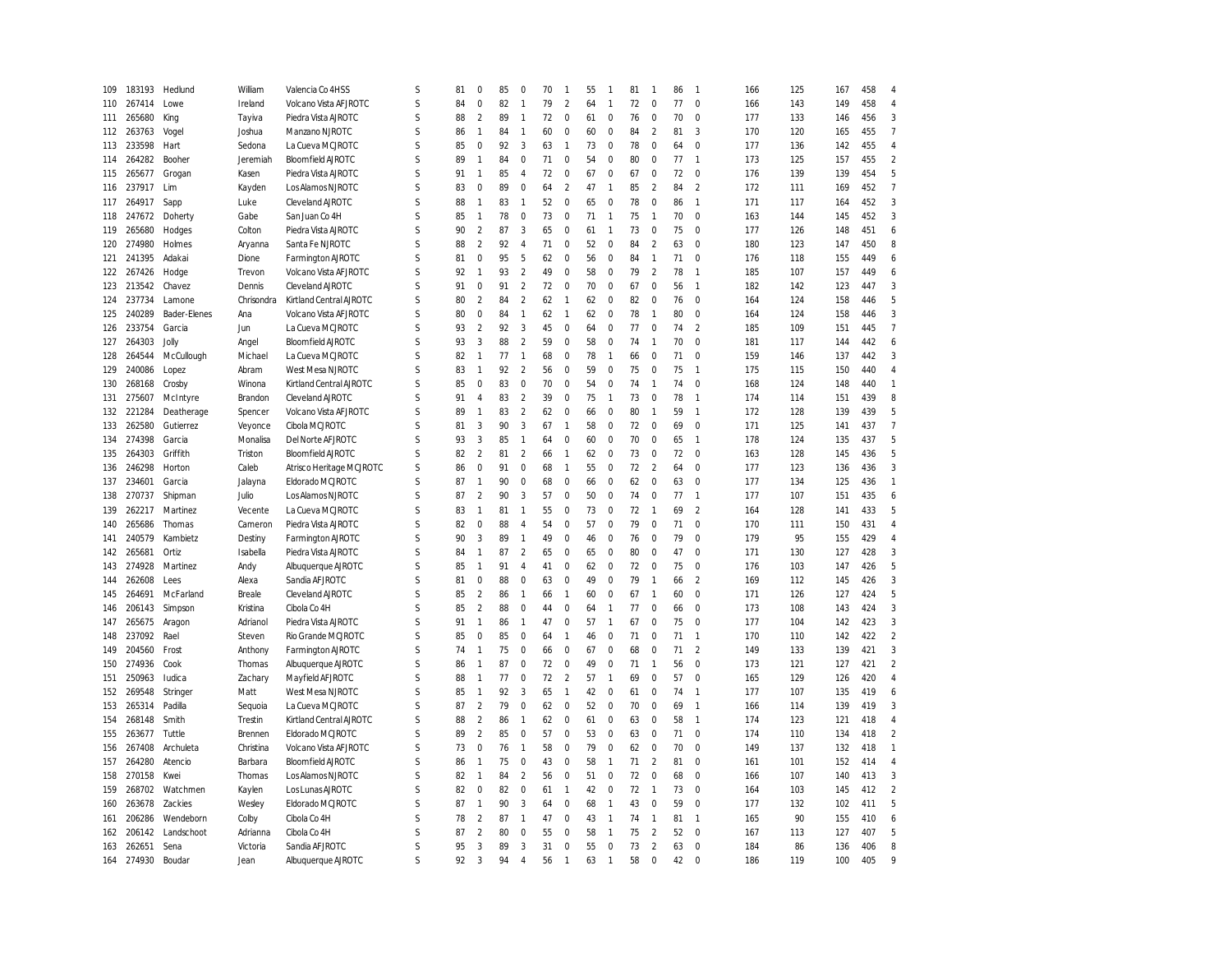| 109 | 183193 | Hedlund      | William    | Valencia Co 4HSS         | S           | 81 | 0              | 85 | 0                        | 70 | $\mathbf{1}$     | 55 | -1             | 81 | $\overline{1}$ | 86 | $\overline{1}$ | 166 | 125 | 167 | 458 | $\overline{4}$           |
|-----|--------|--------------|------------|--------------------------|-------------|----|----------------|----|--------------------------|----|------------------|----|----------------|----|----------------|----|----------------|-----|-----|-----|-----|--------------------------|
| 110 | 267414 | Lowe         | Ireland    | Volcano Vista AF JROTC   | S           | 84 | $\pmb{0}$      | 82 | $\mathbf{1}$             | 79 | $\overline{2}$   | 64 | $\overline{1}$ | 72 | $\pmb{0}$      | 77 | $\mathbf 0$    | 166 | 143 | 149 | 458 | $\overline{4}$           |
|     |        |              |            |                          | S           |    |                |    |                          |    |                  |    |                |    |                |    |                |     |     |     |     |                          |
| 111 | 265680 | King         | Tayiva     | Piedra Vista AJROTC      |             | 88 | $\overline{2}$ | 89 | $\mathbf{1}$             | 72 | $\mathbf 0$      | 61 | $\mathbf 0$    | 76 | $\mathbf 0$    | 70 | $\mathbf 0$    | 177 | 133 | 146 | 456 | 3                        |
| 112 | 263763 | Vogel        | Joshua     | Manzano NJROTC           | S           | 86 | $\mathbf{1}$   | 84 | 1                        | 60 | $\boldsymbol{0}$ | 60 | $\mathbf 0$    | 84 | $\sqrt{2}$     | 81 | 3              | 170 | 120 | 165 | 455 | $\overline{7}$           |
| 113 | 233598 | Hart         | Sedona     | La Cueva MCJROTC         | S           | 85 | $\pmb{0}$      | 92 | 3                        | 63 | $\overline{1}$   | 73 | $\mathbf 0$    | 78 | $\bf 0$        | 64 | $\mathbf 0$    | 177 | 136 | 142 | 455 | $\overline{4}$           |
| 114 | 264282 | Booher       | Jeremiah   | <b>Bloomfield AJROTC</b> | S           | 89 | $\mathbf{1}$   | 84 | $\Omega$                 | 71 | $\mathbf 0$      | 54 | $\mathbf 0$    | 80 | $\mathbf 0$    | 77 | $\mathbf{1}$   | 173 | 125 | 157 | 455 | $\overline{2}$           |
| 115 | 265677 | Grogan       | Kasen      | Piedra Vista AJROTC      | S           | 91 | $\mathbf{1}$   | 85 | 4                        | 72 | $\pmb{0}$        | 67 | $\mathbf 0$    | 67 | 0              | 72 | $\mathbf 0$    | 176 | 139 | 139 | 454 | 5                        |
| 116 | 237917 | Lim          | Kayden     | Los Alamos NJROTC        | S           | 83 | $\pmb{0}$      | 89 | $\mathbf 0$              | 64 | $\overline{2}$   | 47 | $\overline{1}$ | 85 | $\overline{2}$ | 84 | $\overline{2}$ | 172 | 111 | 169 | 452 | $\overline{7}$           |
| 117 | 264917 | Sapp         | Luke       | Cleveland AJROTC         | S           | 88 | $\mathbf{1}$   | 83 | $\mathbf{1}$             | 52 | $\mathbf 0$      | 65 | $\mathbf 0$    | 78 | $\mathbf 0$    | 86 | $\mathbf{1}$   | 171 | 117 | 164 | 452 | 3                        |
| 118 | 247672 | Doherty      | Gabe       | San Juan Co 4H           | S           | 85 | $\mathbf{1}$   | 78 | $\mathbf 0$              | 73 | $\mathbf 0$      | 71 | $\overline{1}$ | 75 | $\mathbf{1}$   | 70 | $\mathbf 0$    | 163 | 144 | 145 | 452 | 3                        |
| 119 | 265680 | Hodges       | Colton     | Piedra Vista AJROTC      | S           | 90 | $\overline{2}$ | 87 | 3                        | 65 | $\mathbf 0$      | 61 | $\overline{1}$ | 73 | $\bf 0$        | 75 | $\mathbf 0$    | 177 | 126 | 148 | 451 | 6                        |
| 120 | 274980 | Holmes       | Aryanna    | Santa Fe NJROTC          | S           | 88 | $\overline{2}$ | 92 | $\overline{4}$           | 71 | $\mathbf 0$      | 52 | $\mathbf 0$    | 84 | $\overline{2}$ | 63 | $\mathbf 0$    | 180 | 123 | 147 | 450 | 8                        |
| 121 | 241395 | Adakai       | Dione      | Farmington AJROTC        | S           | 81 | $\mathbf 0$    | 95 | 5                        | 62 | $\mathbf 0$      | 56 | $\mathbf 0$    | 84 | $\mathbf{1}$   | 71 | 0              | 176 | 118 | 155 | 449 | 6                        |
| 122 | 267426 | Hodge        | Trevon     | Volcano Vista AFJROTC    | S           | 92 | $\overline{1}$ | 93 | $\overline{2}$           | 49 | $\mathbf 0$      | 58 | $\mathbf 0$    | 79 | $\overline{2}$ | 78 | $\mathbf{1}$   | 185 | 107 | 157 | 449 | 6                        |
| 123 | 213542 | Chavez       | Dennis     | Cleveland AJROTC         | S           | 91 | 0              | 91 | $\overline{\phantom{a}}$ | 72 | $\mathbf 0$      | 70 | $\mathbf 0$    | 67 | $\mathbf 0$    | 56 | $\mathbf{1}$   | 182 | 142 | 123 | 447 | 3                        |
| 124 | 237734 | Lamone       | Chrisondra | Kirtland Central AJROTC  | S           | 80 | $\overline{2}$ | 84 | $\overline{2}$           | 62 | $\mathbf{1}$     | 62 | $\mathbf 0$    | 82 | 0              | 76 | 0              | 164 | 124 | 158 | 446 | 5                        |
| 125 | 240289 | Bader-Elenes | Ana        | Volcano Vista AF JROTC   | S           | 80 | $\pmb{0}$      | 84 | $\mathbf{1}$             | 62 | $\overline{1}$   | 62 | $\mathbf 0$    | 78 | $\overline{1}$ | 80 | $\mathbf 0$    | 164 | 124 | 158 | 446 | 3                        |
| 126 | 233754 | Garcia       | Jun        | La Cueva MCJROTC         | S           | 93 | $\overline{2}$ | 92 | 3                        | 45 | $\mathbf 0$      | 64 | $\mathbf 0$    | 77 | $\mathbf 0$    | 74 | $\overline{2}$ | 185 | 109 | 151 | 445 | $\overline{7}$           |
|     |        |              |            |                          | S           | 93 |                |    |                          |    |                  |    |                |    | $\mathbf{1}$   |    |                |     |     |     |     |                          |
| 127 | 264303 | Jolly        | Angel      | <b>Bloomfield AJROTC</b> |             |    | 3              | 88 | $\overline{2}$           | 59 | $\mathbf 0$      | 58 | $\mathbf 0$    | 74 |                | 70 | $\mathbf 0$    | 181 | 117 | 144 | 442 | 6                        |
| 128 | 264544 | McCullough   | Michael    | La Cueva MCJROTC         | S           | 82 | $\mathbf{1}$   | 77 | $\mathbf{1}$             | 68 | $\mathbf 0$      | 78 | $\mathbf{1}$   | 66 | $\bf 0$        | 71 | $\mathbf 0$    | 159 | 146 | 137 | 442 | 3                        |
| 129 | 240086 | Lopez        | Abram      | West Mesa NJROTC         | S           | 83 | $\mathbf{1}$   | 92 | $\overline{\phantom{a}}$ | 56 | $\mathbf 0$      | 59 | $\mathbf 0$    | 75 | $\mathbf 0$    | 75 | $\mathbf{1}$   | 175 | 115 | 150 | 440 | $\overline{4}$           |
| 130 | 268168 | Crosby       | Winona     | Kirtland Central AJROTC  | S           | 85 | $\mathbf 0$    | 83 | $\mathbf 0$              | 70 | $\mathbf 0$      | 54 | $\mathbf 0$    | 74 | $\mathbf{1}$   | 74 | $\mathbf 0$    | 168 | 124 | 148 | 440 | $\mathbf{1}$             |
| 131 | 275607 | McIntyre     | Brandon    | Cleveland AJROTC         | S           | 91 | $\sqrt{4}$     | 83 | $\overline{2}$           | 39 | $\mathbf 0$      | 75 | $\overline{1}$ | 73 | $\bf 0$        | 78 | $\mathbf{1}$   | 174 | 114 | 151 | 439 | 8                        |
| 132 | 221284 | Deatherage   | Spencer    | Volcano Vista AF JROTC   | S           | 89 | $\mathbf{1}$   | 83 | $\overline{\phantom{a}}$ | 62 | $\mathbf 0$      | 66 | $\mathbf 0$    | 80 | $\overline{1}$ | 59 | $\mathbf{1}$   | 172 | 128 | 139 | 439 | 5                        |
| 133 | 262580 | Gutierrez    | Veyonce    | Cibola MCJROTC           | S           | 81 | 3              | 90 | 3                        | 67 | $\mathbf{1}$     | 58 | $\mathbf 0$    | 72 | 0              | 69 | $\mathbf 0$    | 171 | 125 | 141 | 437 | $\overline{7}$           |
| 134 | 274398 | Garcia       | Monalisa   | Del Norte AFJROTC        | S           | 93 | $\overline{3}$ | 85 | $\mathbf{1}$             | 64 | $\mathbf 0$      | 60 | $\mathbf 0$    | 70 | $\bf 0$        | 65 | $\mathbf{1}$   | 178 | 124 | 135 | 437 | 5                        |
| 135 | 264303 | Griffith     | Triston    | <b>Bloomfield AJROTC</b> | S           | 82 | $\overline{2}$ | 81 | $\overline{2}$           | 66 | $\mathbf{1}$     | 62 | $\mathbf 0$    | 73 | $\mathbf 0$    | 72 | $\mathbf 0$    | 163 | 128 | 145 | 436 | 5                        |
| 136 | 246298 | Horton       | Caleb      | Atrisco Heritage MCJROTC | S           | 86 | $\mathbf 0$    | 91 | $\mathbf 0$              | 68 | $\mathbf{1}$     | 55 | $\mathbf 0$    | 72 | $\overline{2}$ | 64 | $\mathbf 0$    | 177 | 123 | 136 | 436 | 3                        |
| 137 | 234601 | Garcia       | Jalayna    | Eldorado MCJROTC         | S           | 87 | $\overline{1}$ | 90 | $\mathbf 0$              | 68 | $\mathbf 0$      | 66 | $\mathbf 0$    | 62 | $\mathbf 0$    | 63 | $\mathbf 0$    | 177 | 134 | 125 | 436 | $\mathbf{1}$             |
| 138 | 270737 | Shipman      | Julio      | Los Alamos NJROTC        | S           | 87 | $\overline{2}$ | 90 | 3                        | 57 | $\mathbf 0$      | 50 | $\mathbf 0$    | 74 | $\mathbf 0$    | 77 | $\mathbf{1}$   | 177 | 107 | 151 | 435 | 6                        |
| 139 | 262217 | Martinez     | Vecente    | La Cueva MCJROTC         | S           | 83 | $\mathbf{1}$   | 81 | $\mathbf{1}$             | 55 | $\mathbf 0$      | 73 | $\mathbf 0$    | 72 | $\mathbf{1}$   | 69 | $\overline{2}$ | 164 | 128 | 141 | 433 | 5                        |
| 140 | 265686 | Thomas       | Cameron    | Piedra Vista AJROTC      | S           | 82 | $\pmb{0}$      | 88 | $\overline{4}$           | 54 | $\mathbf 0$      | 57 | $\mathbf 0$    | 79 | $\bf 0$        | 71 | $\mathbf 0$    | 170 | 111 | 150 | 431 | $\overline{4}$           |
| 141 | 240579 | Kambietz     | Destiny    | Farmington AJROTC        | S           | 90 | 3              | 89 | $\mathbf{1}$             | 49 | $\mathbf 0$      | 46 | $\mathbf 0$    | 76 | $\mathbf 0$    | 79 | $\mathbf 0$    | 179 | 95  | 155 | 429 | $\overline{4}$           |
|     |        |              |            |                          | S           |    |                |    |                          |    |                  |    |                |    |                |    |                |     | 130 |     |     |                          |
| 142 | 265681 | Ortiz        | Isabella   | Piedra Vista AJROTC      |             | 84 | $\mathbf{1}$   | 87 | $\overline{2}$           | 65 | $\mathbf 0$      | 65 | $\mathbf 0$    | 80 | 0              | 47 | $\mathbf 0$    | 171 |     | 127 | 428 | 3                        |
| 143 | 274928 | Martinez     | Andy       | Albuquerque AJROTC       | S           | 85 | $\mathbf{1}$   | 91 | $\overline{4}$           | 41 | $\mathbf 0$      | 62 | $\mathbf 0$    | 72 | $\bf 0$        | 75 | $\mathbf 0$    | 176 | 103 | 147 | 426 | 5                        |
| 144 | 262608 | Lees         | Alexa      | Sandia AFJROTC           | S           | 81 | 0              | 88 | $\mathbf 0$              | 63 | $\mathbf 0$      | 49 | $\mathbf 0$    | 79 | $\mathbf{1}$   | 66 | $\mathfrak{p}$ | 169 | 112 | 145 | 426 | 3                        |
| 145 | 264691 | McFarland    | Breale     | Cleveland AJROTC         | S           | 85 | $\sqrt{2}$     | 86 | $\mathbf{1}$             | 66 | $\mathbf{1}$     | 60 | $\mathbf 0$    | 67 | $\mathbf{1}$   | 60 | $\mathbf 0$    | 171 | 126 | 127 | 424 | 5                        |
| 146 | 206143 | Simpson      | Kristina   | Cibola Co 4H             | S           | 85 | $\overline{2}$ | 88 | $\mathbf 0$              | 44 | $\mathbf 0$      | 64 | $\mathbf{1}$   | 77 | $\bf 0$        | 66 | $\mathbf 0$    | 173 | 108 | 143 | 424 | 3                        |
| 147 | 265675 | Aragon       | Adrianol   | Piedra Vista AJROTC      | S           | 91 | $\mathbf{1}$   | 86 | $\mathbf{1}$             | 47 | $\mathbf 0$      | 57 | $\overline{1}$ | 67 | $\mathbf 0$    | 75 | $\mathbf 0$    | 177 | 104 | 142 | 423 | 3                        |
| 148 | 237092 | Rael         | Steven     | Rio Grande MCJROTC       | S           | 85 | $\mathbf 0$    | 85 | 0                        | 64 | $\mathbf{1}$     | 46 | $\mathbf 0$    | 71 | 0              | 71 | -1             | 170 | 110 | 142 | 422 | $\overline{2}$           |
| 149 | 204560 | Frost        | Anthony    | Farmington AJROTC        | S           | 74 | $\overline{1}$ | 75 | $\mathbf 0$              | 66 | $\mathbf 0$      | 67 | $\mathbf 0$    | 68 | $\bf 0$        | 71 | $\overline{2}$ | 149 | 133 | 139 | 421 | 3                        |
| 150 | 274936 | Cook         | Thomas     | Albuquerque AJROTC       | S           | 86 | $\mathbf{1}$   | 87 | $\Omega$                 | 72 | $\mathbf 0$      | 49 | $\mathbf 0$    | 71 | $\mathbf{1}$   | 56 | $\mathbf 0$    | 173 | 121 | 127 | 421 | $\overline{\phantom{a}}$ |
| 151 | 250963 | I udica      | Zachary    | Mayfield AFJROTC         | S           | 88 | $\mathbf{1}$   | 77 | $\mathbf 0$              | 72 | $\overline{2}$   | 57 | $\mathbf{1}$   | 69 | $\pmb{0}$      | 57 | 0              | 165 | 129 | 126 | 420 | $\overline{4}$           |
| 152 | 269548 | Stringer     | Matt       | West Mesa NJROTC         | S           | 85 | $\mathbf{1}$   | 92 | 3                        | 65 | $\mathbf{1}$     | 42 | $\mathbf 0$    | 61 | $\bf 0$        | 74 | $\mathbf{1}$   | 177 | 107 | 135 | 419 | 6                        |
| 153 | 265314 | Padilla      | Seguoia    | La Cueva MCJROTC         | S           | 87 | $\overline{2}$ | 79 | $\mathbf 0$              | 62 | $\mathbf 0$      | 52 | $\mathbf 0$    | 70 | $\mathbf 0$    | 69 | $\mathbf{1}$   | 166 | 114 | 139 | 419 | 3                        |
| 154 | 268148 | Smith        | Trestin    | Kirtland Central AJROTC  | S           | 88 | $\sqrt{2}$     | 86 | $\mathbf{1}$             | 62 | $\mathbf 0$      | 61 | $\mathbf 0$    | 63 | 0              | 58 | -1             | 174 | 123 | 121 | 418 | $\overline{4}$           |
| 155 | 263677 | Tuttle       | Brennen    | Eldorado MCJROTC         | S           | 89 | $\overline{2}$ | 85 | $\mathbf 0$              | 57 | $\mathbf 0$      | 53 | $\mathbf 0$    | 63 | $\bf 0$        | 71 | $\mathbf 0$    | 174 | 110 | 134 | 418 | $\overline{2}$           |
| 156 | 267408 | Archuleta    | Christina  | Volcano Vista AF JROTC   | S           | 73 | 0              | 76 | $\mathbf{1}$             | 58 | $\mathbf 0$      | 79 | $\mathbf 0$    | 62 | $\mathbf 0$    | 70 | $\mathbf 0$    | 149 | 137 | 132 | 418 | 1                        |
|     | 264280 |              |            |                          | S           |    | $\mathbf{1}$   | 75 | $\mathbf 0$              | 43 | $\mathbf 0$      | 58 | $\overline{1}$ | 71 |                | 81 |                |     |     |     |     |                          |
| 157 |        | Atencio      | Barbara    | <b>Bloomfield AJROTC</b> |             | 86 |                |    |                          |    |                  |    |                |    | 2              |    | $\mathbf 0$    | 161 | 101 | 152 | 414 | $\overline{4}$           |
| 158 | 270158 | Kwei         | Thomas     | Los Alamos NJROTC        | S           | 82 | $\mathbf{1}$   | 84 | $\overline{2}$           | 56 | $\mathbf 0$      | 51 | $\bf 0$        | 72 | $\bf 0$        | 68 | $\mathbf 0$    | 166 | 107 | 140 | 413 | 3                        |
| 159 | 268702 | Watchmen     | Kaylen     | Los Lunas AJROTC         | S           | 82 | 0              | 82 | $\mathbf 0$              | 61 | $\mathbf{1}$     | 42 | $\mathbf 0$    | 72 | $\mathbf{1}$   | 73 | $\mathbf 0$    | 164 | 103 | 145 | 412 | $\overline{2}$           |
| 160 | 263678 | Zackies      | Wesley     | Eldorado MCJROTC         | S           | 87 | $\mathbf{1}$   | 90 | 3                        | 64 | $\boldsymbol{0}$ | 68 | $\mathbf{1}$   | 43 | 0              | 59 | $\mathbf 0$    | 177 | 132 | 102 | 411 | 5                        |
| 161 | 206286 | Wendeborn    | Colby      | Cibola Co 4H             | S           | 78 | $\overline{2}$ | 87 | $\mathbf{1}$             | 47 | $\mathbf 0$      | 43 | $\mathbf{1}$   | 74 | $\mathbf{1}$   | 81 | $\mathbf{1}$   | 165 | 90  | 155 | 410 | 6                        |
| 162 | 206142 | Landschoot   | Adrianna   | Cibola Co 4H             | S           | 87 | $\overline{2}$ | 80 | $\mathbf 0$              | 55 | $\mathbf 0$      | 58 | $\mathbf{1}$   | 75 | $\overline{2}$ | 52 | $\mathbf 0$    | 167 | 113 | 127 | 407 | 5                        |
| 163 | 262651 | Sena         | Victoria   | Sandia AFJROTC           | S           | 95 | 3              | 89 | 3                        | 31 | 0                | 55 | $\mathbf 0$    | 73 | $\overline{2}$ | 63 | $\mathbf 0$    | 184 | 86  | 136 | 406 | 8                        |
| 164 | 274930 | Boudar       | Jean       | Albuquerque AJROTC       | $\varsigma$ | 92 | $\overline{3}$ | 94 | $\overline{4}$           | 56 | $\overline{1}$   | 63 | $\overline{1}$ | 58 | $\mathbf{0}$   | 42 | $\mathbf 0$    | 186 | 119 | 100 | 405 | 9                        |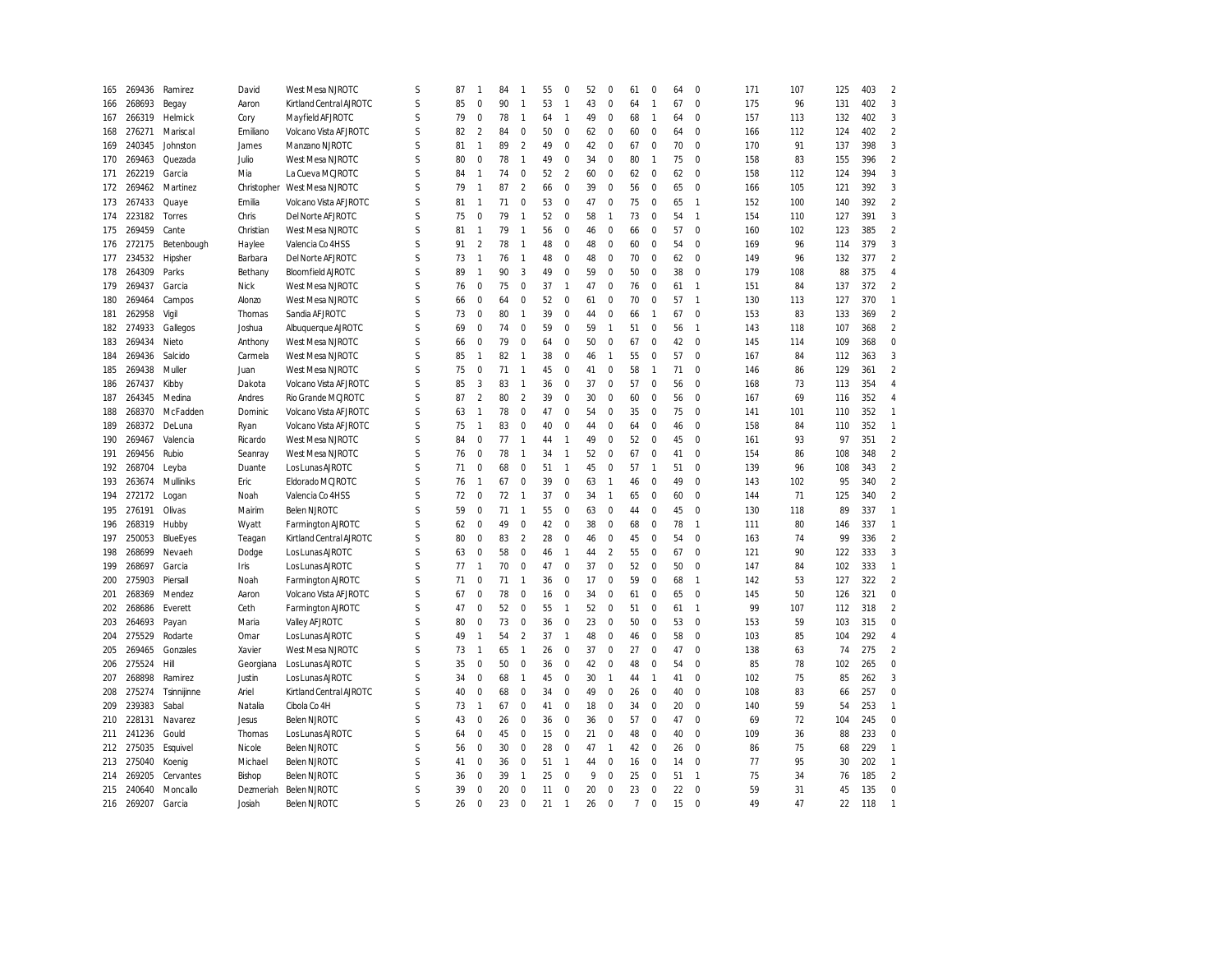| 165 | 269436 | Ramirez     | David         | West Mesa NJROTC         | S           | 87 | 1              | 84 | -1             | 55 | $\mathbf 0$    | 52 | 0              | 61             | $\Omega$       | 64 | $\Omega$       | 171 | 107 | 125 | 403 | $\overline{2}$   |
|-----|--------|-------------|---------------|--------------------------|-------------|----|----------------|----|----------------|----|----------------|----|----------------|----------------|----------------|----|----------------|-----|-----|-----|-----|------------------|
| 166 | 268693 | Begay       | Aaron         | Kirtland Central AJROTC  | S           | 85 | $\mathbf 0$    | 90 | $\mathbf{1}$   | 53 | $\overline{1}$ | 43 | $\mathbf 0$    | 64             | $\mathbf{1}$   | 67 | $\mathbf 0$    | 175 | 96  | 131 | 402 | 3                |
| 167 | 266319 | Helmick     | Cory          | Mayfield AFJROTC         | S           | 79 | 0              | 78 | $\overline{1}$ | 64 | $\overline{1}$ | 49 | 0              | 68             | $\overline{1}$ | 64 | $\mathbf 0$    | 157 | 113 | 132 | 402 | $\overline{3}$   |
| 168 | 276271 | Mariscal    | Emiliano      | Volcano Vista AFJROTC    | S           | 82 | $\overline{2}$ | 84 | $\mathbf 0$    | 50 | $\mathbf{0}$   | 62 | $\mathbf 0$    | 60             | $\mathbf 0$    | 64 | $\mathbf 0$    | 166 | 112 | 124 | 402 | $\overline{2}$   |
| 169 | 240345 | Johnston    | James         | Manzano NJROTC           | S           | 81 | $\mathbf{1}$   | 89 | $\overline{2}$ | 49 | $\mathbf 0$    | 42 | $\mathbf 0$    | 67             | $\mathbf 0$    | 70 | $\mathbf 0$    | 170 | 91  | 137 | 398 | 3                |
| 170 | 269463 | Quezada     | Julio         | West Mesa NJROTC         | S           | 80 | $\mathbf 0$    | 78 | $\overline{1}$ | 49 | $\mathbf{0}$   | 34 | $\mathbf 0$    | 80             | $\overline{1}$ | 75 | $\mathbf 0$    | 158 | 83  | 155 | 396 | $\overline{2}$   |
| 171 | 262219 | Garcia      | Mia           | La Cueva MCJROTC         | S           | 84 | $\mathbf{1}$   | 74 | $\mathbf 0$    | 52 | $\overline{2}$ | 60 | $\mathbf 0$    | 62             | $\mathbf 0$    | 62 | $\Omega$       | 158 | 112 | 124 | 394 | 3                |
| 172 | 269462 | Martinez    | Christopher   | West Mesa NJROTC         | S           | 79 | $\mathbf{1}$   | 87 | $\overline{2}$ | 66 | $\mathbf{0}$   | 39 | $\mathbf 0$    | 56             | $\mathbf 0$    | 65 | $\mathbf 0$    | 166 | 105 | 121 | 392 | $\overline{3}$   |
| 173 | 267433 | Quaye       | Emilia        | Volcano Vista AF JROTC   | S           | 81 | $\mathbf{1}$   | 71 | $\mathbf 0$    | 53 | $\mathbf{0}$   | 47 | $\mathbf 0$    | 75             | $\Omega$       | 65 | $\overline{1}$ | 152 | 100 | 140 | 392 | $\overline{2}$   |
| 174 | 223182 | Torres      | Chris         | Del Norte AFJROTC        | S           | 75 | $\mathbf 0$    | 79 | $\mathbf{1}$   | 52 | $\mathbf 0$    | 58 | $\mathbf{1}$   | 73             | $\mathbf 0$    | 54 | $\mathbf{1}$   | 154 | 110 | 127 | 391 | $\mathbf{3}$     |
| 175 | 269459 | Cante       | Christian     | West Mesa NJROTC         | S           | 81 | $\mathbf{1}$   | 79 | $\mathbf{1}$   | 56 | $\mathbf 0$    | 46 | $\mathbf 0$    | 66             | $\mathbf 0$    | 57 | $\mathbf 0$    | 160 | 102 | 123 | 385 | $\overline{2}$   |
| 176 | 272175 | Betenbough  | Haylee        | Valencia Co 4HSS         | S           | 91 | $\overline{2}$ | 78 | $\overline{1}$ | 48 | $\mathbf 0$    | 48 | $\pmb{0}$      | 60             | $\mathbf 0$    | 54 | $\mathbf 0$    | 169 | 96  | 114 | 379 | $\overline{3}$   |
| 177 | 234532 | Hipsher     | Barbara       | Del Norte AFJROTC        | S           | 73 | $\mathbf{1}$   | 76 | $\overline{1}$ | 48 | $\mathbf 0$    | 48 | $\mathbf 0$    | 70             | $\mathbf 0$    | 62 | $\mathbf{0}$   | 149 | 96  | 132 | 377 | $\overline{2}$   |
| 178 | 264309 | Parks       | Bethany       | <b>Bloomfield AJROTC</b> | S           | 89 | $\mathbf{1}$   | 90 | 3              | 49 | $\pmb{0}$      | 59 | $\bf 0$        | 50             | $\mathbf 0$    | 38 | $\mathbf{0}$   | 179 | 108 | 88  | 375 | $\overline{4}$   |
| 179 | 269437 | Garcia      | <b>Nick</b>   | West Mesa NJROTC         | S           | 76 | $\mathbf 0$    | 75 | $\mathbf 0$    | 37 | $\overline{1}$ | 47 | $\mathbf 0$    | 76             | $\mathbf 0$    | 61 | $\mathbf{1}$   | 151 | 84  | 137 | 372 | $\mathfrak{p}$   |
| 180 | 269464 | Campos      | Alonzo        | West Mesa NJROTC         | S           | 66 | $\mathbf 0$    | 64 | $\mathbf 0$    | 52 | $\mathbf 0$    | 61 | $\mathbf 0$    | 70             | $\mathbf 0$    | 57 | $\overline{1}$ | 130 | 113 | 127 | 370 | $\overline{1}$   |
| 181 | 262958 | Vigil       | Thomas        | Sandia AFJROTC           | S           | 73 | $\mathbf 0$    | 80 | $\mathbf{1}$   | 39 | $\mathbf 0$    | 44 | 0              | 66             | $\mathbf{1}$   | 67 | $\mathbf 0$    | 153 | 83  | 133 | 369 | $\overline{2}$   |
| 182 | 274933 | Gallegos    | Joshua        | Albuquerque AJROTC       | S           | 69 | $\mathbf 0$    | 74 | $\mathbf 0$    | 59 | $\mathbf 0$    | 59 | $\mathbf{1}$   | 51             | $\mathbf 0$    | 56 | $\mathbf{1}$   | 143 | 118 | 107 | 368 | $\overline{2}$   |
| 183 | 269434 | Nieto       | Anthony       | West Mesa NJROTC         | S           | 66 | $\mathbf 0$    | 79 | $\bf 0$        | 64 | $\pmb{0}$      | 50 | $\pmb{0}$      | 67             | $\mathbf 0$    | 42 | $\mathbf 0$    | 145 | 114 | 109 | 368 | $\boldsymbol{0}$ |
| 184 | 269436 | Salcido     | Carmela       | West Mesa NJROTC         | S           | 85 | $\mathbf{1}$   | 82 | $\mathbf{1}$   | 38 | $\mathbf 0$    | 46 | $\mathbf{1}$   | 55             | $\mathbf 0$    | 57 | $\mathbf 0$    | 167 | 84  | 112 | 363 | 3                |
| 185 | 269438 | Muller      | Juan          | West Mesa NJROTC         | S           | 75 | $\mathbf 0$    | 71 | $\overline{1}$ | 45 | $\mathbf 0$    | 41 | $\pmb{0}$      | 58             | $\mathbf{1}$   | 71 | $\mathbf 0$    | 146 | 86  | 129 | 361 | $\overline{2}$   |
| 186 | 267437 | Kibby       | Dakota        | Volcano Vista AF JROTC   | S           | 85 | 3              | 83 | $\overline{1}$ | 36 | $\mathbf 0$    | 37 | $\pmb{0}$      | 57             | $\mathbf 0$    | 56 | $\pmb{0}$      | 168 | 73  | 113 | 354 | $\overline{4}$   |
| 187 | 264345 | Medina      | Andres        | Rio Grande MCJROTC       | S           | 87 | $\mathcal{P}$  | 80 | $\overline{2}$ | 39 | $\mathbf 0$    | 30 | $\pmb{0}$      | 60             | $\Omega$       | 56 | $\Omega$       | 167 | 69  | 116 | 352 | $\overline{4}$   |
| 188 | 268370 | McFadden    | Dominic       | Volcano Vista AFJROTC    | $\varsigma$ | 63 | $\mathbf{1}$   | 78 | $\mathbf 0$    | 47 | $\mathbf{0}$   | 54 | $\mathbf 0$    | 35             | $\Omega$       | 75 | $\Omega$       | 141 | 101 | 110 | 352 | $\mathbf{1}$     |
| 189 | 268372 | DeLuna      | Ryan          | Volcano Vista AFJROTC    | S           | 75 | $\mathbf{1}$   | 83 | $\mathbf 0$    | 40 | $\mathbf{0}$   | 44 | $\mathbf 0$    | 64             | $\Omega$       | 46 | $\Omega$       | 158 | 84  | 110 | 352 | $\mathbf{1}$     |
| 190 | 269467 | Valencia    | Ricardo       | West Mesa NJROTC         | S           | 84 | $\mathbf 0$    | 77 | $\overline{1}$ | 44 | $\overline{1}$ | 49 | $\mathbf 0$    | 52             | $\mathbf 0$    | 45 | $\mathbf 0$    | 161 | 93  | 97  | 351 | $\overline{2}$   |
| 191 | 269456 | Rubio       | Seanray       | West Mesa NJROTC         | S           | 76 | $\mathbf 0$    | 78 | $\overline{1}$ | 34 | $\overline{1}$ | 52 | $\mathbf 0$    | 67             | $\mathbf 0$    | 41 | $\mathbf 0$    | 154 | 86  | 108 | 348 | $\overline{2}$   |
|     | 268704 |             | Duante        | Los Lunas AJROTC         | S           | 71 | $\mathbf 0$    | 68 | $\mathbf 0$    | 51 | $\overline{1}$ |    |                | 57             | $\mathbf{1}$   | 51 | $\Omega$       | 139 | 96  | 108 | 343 | $\overline{2}$   |
| 192 |        | Leyba       |               |                          | S           |    |                |    |                | 39 | $\mathbf 0$    | 45 | 0              |                |                | 49 | $\mathbf 0$    |     |     | 95  |     | $\overline{2}$   |
| 193 | 263674 | Mulliniks   | Eric          | Eldorado MCJROTC         |             | 76 | $\mathbf{1}$   | 67 | $\mathbf 0$    |    |                | 63 | $\mathbf{1}$   | 46             | $\mathbf 0$    |    |                | 143 | 102 |     | 340 |                  |
| 194 | 272172 | Logan       | Noah          | Valencia Co 4HSS         | S           | 72 | $\mathbf 0$    | 72 | $\overline{1}$ | 37 | $\mathbf 0$    | 34 | $\mathbf{1}$   | 65             | $\mathbf 0$    | 60 | $\mathbf 0$    | 144 | 71  | 125 | 340 | $\overline{2}$   |
| 195 | 276191 | Olivas      | Mairim        | <b>Belen NJROTC</b>      | S           | 59 | $\mathbf 0$    | 71 | $\overline{1}$ | 55 | $\mathbf{0}$   | 63 | $\mathbf 0$    | 44             | $\mathbf 0$    | 45 | $\mathbf 0$    | 130 | 118 | 89  | 337 | $\overline{1}$   |
| 196 | 268319 | Hubby       | Wyatt         | Farmington AJROTC        | S           | 62 | $\mathbf 0$    | 49 | $\mathbf 0$    | 42 | $\mathbf 0$    | 38 | $\mathbf 0$    | 68             | $\mathbf 0$    | 78 | $\mathbf{1}$   | 111 | 80  | 146 | 337 | $\overline{1}$   |
| 197 | 250053 | BlueEyes    | Teagan        | Kirtland Central AJROTC  | S           | 80 | $\mathbf 0$    | 83 | $\overline{2}$ | 28 | $\mathbf 0$    | 46 | $\mathbf 0$    | 45             | $\mathbf 0$    | 54 | 0              | 163 | 74  | 99  | 336 | $\overline{2}$   |
| 198 | 268699 | Nevaeh      | Dodge         | Los Lunas AJROTC         | S           | 63 | $\Omega$       | 58 | $\mathbf 0$    | 46 | $\overline{1}$ | 44 | $\overline{2}$ | 55             | $\Omega$       | 67 | $\mathbf 0$    | 121 | 90  | 122 | 333 | 3                |
| 199 | 268697 | Garcia      | Iris          | Los Lunas AJROTC         | S           | 77 | $\mathbf{1}$   | 70 | $\mathbf 0$    | 47 | $\mathbf 0$    | 37 | $\mathbf 0$    | 52             | $\mathbf 0$    | 50 | $\mathbf 0$    | 147 | 84  | 102 | 333 | $\mathbf{1}$     |
| 200 | 275903 | Piersall    | Noah          | Farmington AJROTC        | S           | 71 | $\mathbf 0$    | 71 | $\overline{1}$ | 36 | $\mathbf 0$    | 17 | $\pmb{0}$      | 59             | $\mathbf 0$    | 68 | $\mathbf{1}$   | 142 | 53  | 127 | 322 | $\overline{2}$   |
| 201 | 268369 | Mendez      | Aaron         | Volcano Vista AF JROTC   | S           | 67 | $\mathbf 0$    | 78 | $\mathbf 0$    | 16 | $\mathbf 0$    | 34 | $\pmb{0}$      | 61             | $\mathbf 0$    | 65 | $\mathbf 0$    | 145 | 50  | 126 | 321 | $\mathbf 0$      |
| 202 | 268686 | Everett     | Ceth          | Farmington AJROTC        | S           | 47 | $\mathbf 0$    | 52 | $\mathbf 0$    | 55 | $\overline{1}$ | 52 | $\mathbf 0$    | 51             | $\mathbf 0$    | 61 | $\mathbf{1}$   | 99  | 107 | 112 | 318 | $\overline{2}$   |
| 203 | 264693 | Payan       | Maria         | Valley AFJROTC           | S           | 80 | $\mathbf 0$    | 73 | $\mathbf 0$    | 36 | $\mathbf 0$    | 23 | $\mathbf 0$    | 50             | $\mathbf 0$    | 53 | $\mathbf 0$    | 153 | 59  | 103 | 315 | $\mathbf 0$      |
| 204 | 275529 | Rodarte     | Omar          | Los Lunas AJROTC         | S           | 49 | $\mathbf{1}$   | 54 | $\overline{2}$ | 37 | $\overline{1}$ | 48 | $\mathbf 0$    | 46             | $\mathbf 0$    | 58 | $\mathbf 0$    | 103 | 85  | 104 | 292 | $\overline{4}$   |
| 205 | 269465 | Gonzales    | Xavier        | West Mesa NJROTC         | S           | 73 | $\mathbf{1}$   | 65 | $\mathbf{1}$   | 26 | $\mathbf{0}$   | 37 | $\mathbf 0$    | 27             | $\mathbf 0$    | 47 | $\mathbf 0$    | 138 | 63  | 74  | 275 | $\overline{2}$   |
| 206 | 275524 | Hill        | Georgiana     | Los Lunas AJROTC         | S           | 35 | $\mathbf 0$    | 50 | $\mathbf 0$    | 36 | $\mathbf 0$    | 42 | 0              | 48             | $\Omega$       | 54 | $\mathbf 0$    | 85  | 78  | 102 | 265 | $\pmb{0}$        |
| 207 | 268898 | Ramirez     | Justin        | Los Lunas AJROTC         | S           | 34 | $\mathbf 0$    | 68 | $\overline{1}$ | 45 | $\mathbf 0$    | 30 | $\mathbf{1}$   | 44             | $\mathbf{1}$   | 41 | $\pmb{0}$      | 102 | 75  | 85  | 262 | $\overline{3}$   |
| 208 | 275274 | Tsinnijinne | Ariel         | Kirtland Central AJROTC  | S           | 40 | $\mathbf 0$    | 68 | $\bf 0$        | 34 | $\mathbf 0$    | 49 | $\pmb{0}$      | 26             | $\mathbf 0$    | 40 | $\mathbf 0$    | 108 | 83  | 66  | 257 | $\bf 0$          |
| 209 | 239383 | Sabal       | Natalia       | Cibola Co 4H             | S           | 73 | $\mathbf{1}$   | 67 | $\mathbf 0$    | 41 | $\mathbf 0$    | 18 | $\pmb{0}$      | 34             | $\mathbf 0$    | 20 | $\mathbf 0$    | 140 | 59  | 54  | 253 | $\overline{1}$   |
| 210 | 228131 | Navarez     | Jesus         | <b>Belen NJROTC</b>      | S           | 43 | $\mathbf 0$    | 26 | $\mathbf 0$    | 36 | $\mathbf 0$    | 36 | $\pmb{0}$      | 57             | $\mathbf 0$    | 47 | $\mathbf 0$    | 69  | 72  | 104 | 245 | $\bf 0$          |
| 211 | 241236 | Gould       | Thomas        | Los Lunas AJROTC         | S           | 64 | $\mathbf 0$    | 45 | $\mathbf 0$    | 15 | $\mathbf 0$    | 21 | $\pmb{0}$      | 48             | $\mathbf 0$    | 40 | $\mathbf 0$    | 109 | 36  | 88  | 233 | $\pmb{0}$        |
| 212 | 275035 | Esquivel    | <b>Nicole</b> | <b>Belen NJROTC</b>      | S           | 56 | $\mathbf 0$    | 30 | $\mathbf 0$    | 28 | $\mathbf 0$    | 47 | $\overline{1}$ | 42             | $\mathbf 0$    | 26 | $\Omega$       | 86  | 75  | 68  | 229 | $\overline{1}$   |
| 213 | 275040 | Koenig      | Michael       | <b>Belen NJROTC</b>      | $\varsigma$ | 41 | $\mathbf 0$    | 36 | $\mathbf 0$    | 51 | $\overline{1}$ | 44 | $\mathbf 0$    | 16             | $\Omega$       | 14 | $\Omega$       | 77  | 95  | 30  | 202 | $\overline{1}$   |
| 214 | 269205 | Cervantes   | Bishop        | <b>Belen NJROTC</b>      | S           | 36 | $\Omega$       | 39 | $\mathbf{1}$   | 25 | $\mathbf 0$    | 9  | $\mathbf 0$    | 25             | $\Omega$       | 51 | $\overline{1}$ | 75  | 34  | 76  | 185 | $\overline{2}$   |
| 215 | 240640 | Moncallo    | Dezmeriah     | Belen NJROTC             | S           | 39 | $\mathbf 0$    | 20 | $\mathbf 0$    | 11 | $\mathbf 0$    | 20 | $\mathbf 0$    | 23             | $\mathbf 0$    | 22 | $\mathbf 0$    | 59  | 31  | 45  | 135 | $\mathbf 0$      |
| 216 | 269207 | Garcia      | Josiah        | <b>Belen NJROTC</b>      | ς           | 26 | $\Omega$       | 23 | $\Omega$       | 21 | $\overline{1}$ | 26 | $\Omega$       | $\overline{7}$ | $\Omega$       | 15 | $\Omega$       | 49  | 47  | 22  | 118 | $\overline{1}$   |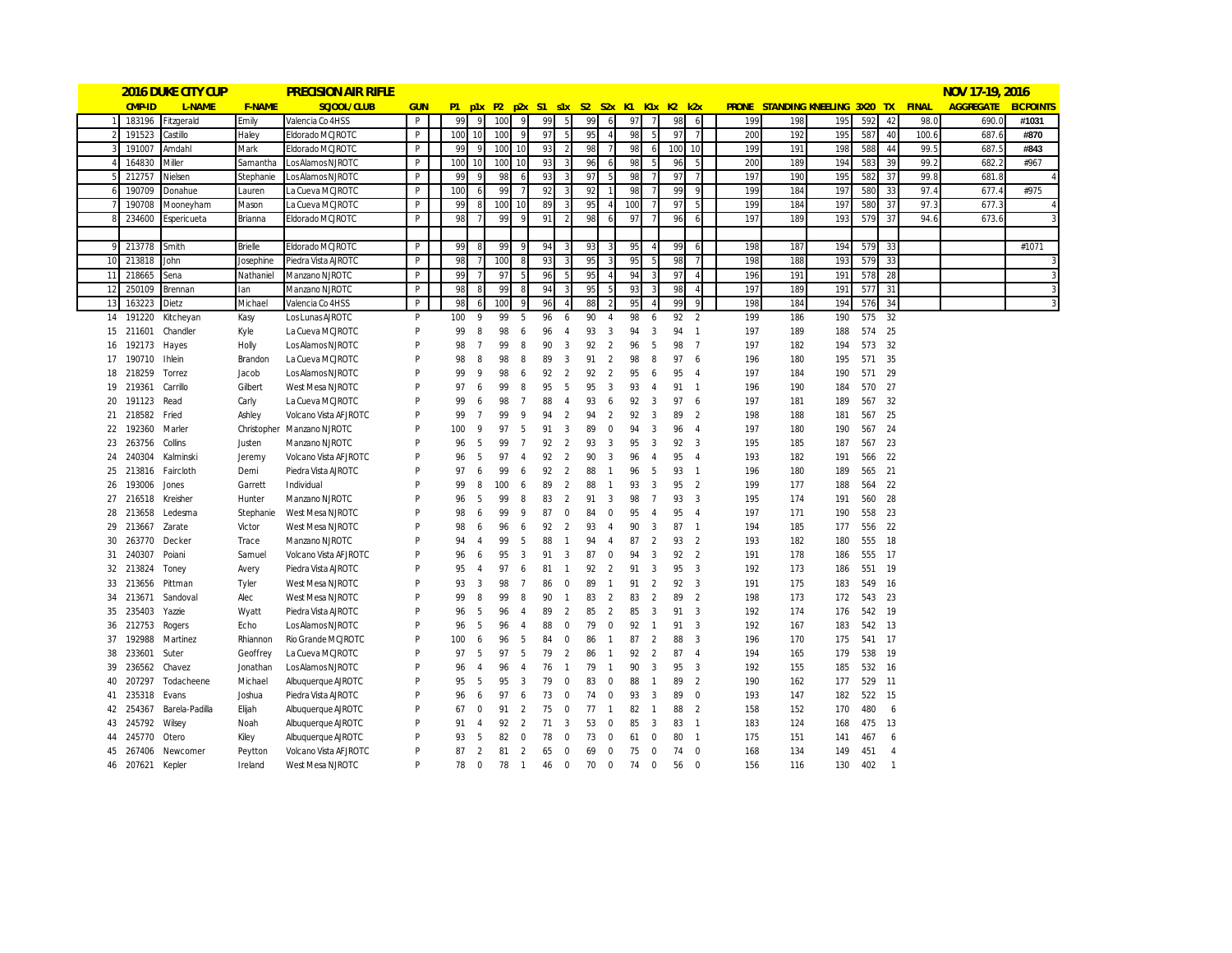|          |                  | <b>2016 DUKE CITY CUP</b> |                | <b>PRECISION AIR RIFLE</b>                    |            |          |                     |          |                |          |                   |                                           |                |          |                |          |                                  |            |                                       |            |               |                |       | NOV 17-19, 2016     |                |
|----------|------------------|---------------------------|----------------|-----------------------------------------------|------------|----------|---------------------|----------|----------------|----------|-------------------|-------------------------------------------|----------------|----------|----------------|----------|----------------------------------|------------|---------------------------------------|------------|---------------|----------------|-------|---------------------|----------------|
|          | CMP-ID           | L-NAME                    | <b>F-NAME</b>  | SCJOOL/CLUB                                   | <b>GUN</b> |          |                     |          |                |          |                   | P1 p1x P2 p2x S1 s1x S2 S2x K1 K1x K2 k2x |                |          |                |          |                                  |            | PRONE STANDING KNEELING 3X20 TX FINAL |            |               |                |       | AGGREGATE EICPOINTS |                |
|          | 183196           | Fitzgerald                | Emily          | Valencia Co 4HSS                              | P          | 99       | q                   | 100      |                | 99       | 5                 | 99                                        | 6              | 97       |                | 98       | 6                                | 199        | 198                                   | 195        | 592           | 42             | 98.0  | 690.0               | #1031          |
|          | 191523           | Castillo                  | Haley          | Eldorado MCJROTC                              | P          | 100      | 10                  | 100      |                | 97       |                   | 95                                        |                | 98       |                | 97       |                                  | 200        | 192                                   | 195        | 587           | 40             | 100.6 | 687.6               | #870           |
|          | 191007           | Amdahl                    | Mark           | Eldorado MCJROTC                              | P          | 99       |                     | 100      | 10             | 93       |                   | 98                                        |                | 98       |                | 100      | 10                               | 199        | 191                                   | 198        | 588           | 44             | 99.5  | 687.5               | #843           |
|          | 164830           | Miller                    | Samantha       | Los Alamos NJROTC                             | P          | 100      | 10                  | 100      | 10             | 93       | 3                 | 96                                        | 6              | 98       |                | 96       | 5                                | 200        | 189                                   | 194        | 583           | 39             | 99.2  | 682.2               | #967           |
|          | 212757           | Nielsen                   | Stephanie      | Los Alamos NJROTC                             | P          | 99       | -9                  | 98       | 6              | 93       | 3                 | 97                                        | .5             | 98       |                | 97       | $\overline{7}$                   | 197        | 190                                   | 195        | 582           | 37             | 99.8  | 681.8               |                |
|          | 190709           | Donahue                   | Lauren         | La Cueva MCJROTC                              | P          | 100      | -6                  | 99       |                | 92       | $\overline{3}$    | 92                                        |                | 98       | -7             | 99       | 9                                | 199        | 184                                   | 197        | 580           | 33             | 97.4  | 677.4               | #975           |
|          | 190708           | Mooneyham                 | Mason          | La Cueva MCJROTC                              | P          | 99       | -8                  | 100      | 10             | 89       | 3                 | 95                                        | $\overline{4}$ | 100      |                | 97       | 5                                | 199        | 184                                   | 197        | 580           | 37             | 97.3  | 677.3               |                |
|          | 234600           | <b>Espericueta</b>        | Brianna        | Eldorado MCJROTC                              | P          | 98       | -7                  | 99       | 9              | 91       | 2                 | 98                                        | 6              | 97       | 7              | 96       | 6                                | 197        | 189                                   | 193        | 579           | 37             | 94.6  | 673.6               |                |
|          |                  |                           |                |                                               |            |          |                     |          |                |          |                   |                                           |                |          |                |          |                                  |            |                                       |            |               |                |       |                     |                |
|          | 9 213778         | Smith                     | <b>Brielle</b> | Eldorado MCJROTC                              | P          | 99       | 8                   | 99       | 9              | 94       | 3                 | 93                                        | 3              | 95       | $\overline{A}$ | 99       | 6                                | 198        | 187                                   | 194        | 579           | 33             |       |                     | #1071          |
| 10       | 213818           | John                      | Josephine      | Piedra Vista AJROTC                           | P          | 98       | $\overline{7}$      | 100      | 8              | 93       | 3                 | 95                                        | $\mathbf{3}$   | 95       | 5              | 98       | $\overline{7}$                   | 198        | 188                                   | 193        | 579           | 33             |       |                     |                |
| 11       | 218665           | Sena                      | Nathaniel      | Manzano NJROTC                                | P          | 99       | $\overline{7}$      | 97       | 5              | 96       |                   | 95                                        | $\overline{A}$ | 94       | -3             | 97       |                                  | 196        | 191                                   | 191        | 578           | 28             |       |                     | $\overline{3}$ |
| 12       | 250109           | Brennan                   | lan            | Manzano NJROTC                                | P          | 98       | 8                   | 99       | 8              | 94       | 3                 | 95                                        | 5              | 93       | $\overline{3}$ | 98       | $\overline{4}$                   | 197        | 189                                   | 191        | 577           | 31             |       |                     |                |
| 13       | 163223           | Dietz                     | Michael        | Valencia Co 4HSS                              | P          | 98       | -6                  | 100      | 9              | 96       |                   | 88                                        | $\mathcal{P}$  | 95       |                | 99       | 9                                | 198        | 184                                   | 194        | 576           | 34             |       |                     | $\overline{3}$ |
|          | 14 191220        | Kitcheyan                 | Kasy           | Los Lunas AJROTC                              | P          | 100      | -9                  | 99       | 5              | 96       | 6                 | 90                                        | $\overline{4}$ | 98       | 6              | 92       | 2                                | 199        | 186                                   | 190        |               | 575 32         |       |                     |                |
| 15       | 211601           | Chandler                  | Kyle           | La Cueva MCJROTC                              | P          | 99       | 8                   | 98       | 6              | 96       | $\overline{4}$    | 93                                        | 3              | 94       | 3              | 94       | $\overline{1}$                   | 197        | 189                                   | 188        | 574           | 25             |       |                     |                |
| 16       | 192173           | Hayes                     | Holly          | Los Alamos NJROTC                             | P          | 98       | $\overline{7}$      | 99       | 8              | 90       | 3                 | 92                                        | $\overline{2}$ | 96       | -5             | 98       | $\overline{7}$                   | 197        | 182                                   | 194        | 573           | 32             |       |                     |                |
| 17       | 190710           | <b>Ihlein</b>             | Brandon        | La Cueva MCJROTC                              | P          | 98       | 8                   | 98       | 8              | 89       | 3                 | 91                                        | $\overline{2}$ | 98       | 8              | 97       | 6                                | 196        | 180                                   | 195        | 571           | 35             |       |                     |                |
|          | 18 218259        | Torrez                    | Jacob          | Los Alamos NJROTC                             | P          | 99       | 9                   | 98       | 6              | 92       | $\overline{2}$    | 92                                        | $\overline{2}$ | 95       | 6              | 95       | $\overline{4}$                   | 197        | 184                                   | 190        | 571 29        |                |       |                     |                |
| 19       | 219361           | Carrillo                  | Gilbert        | West Mesa NJROTC                              | P          | 97       | 6                   | 99       | 8              | 95       | 5                 | 95                                        | 3              | 93       | $\overline{4}$ | 91       | $\overline{1}$                   | 196        | 190                                   | 184        | 570 27        |                |       |                     |                |
| 20       | 191123           | Read                      | Carly          | La Cueva MCJROTC                              | P          | 99       | 6                   | 98       | $\overline{7}$ | 88       | $\overline{4}$    | 93                                        | 6              | 92       | $\overline{3}$ | 97       | -6                               | 197        | 181                                   | 189        | 567 32        |                |       |                     |                |
| 21       | 218582           | Fried                     | Ashley         | Volcano Vista AFJROTC                         | P          | 99       | $\overline{7}$      | 99       | $\mathsf{Q}$   | 94       | 2                 | 94                                        | 2              | 92       | 3              | 89       | $\overline{2}$                   | 198        | 188                                   | 181        | 567           | 25             |       |                     |                |
| 22       | 192360           | Marler                    |                | Christopher Manzano NJROTC                    | P          | 100      | 9                   | 97       | 5              | 91       | 3                 | 89                                        | $\mathbf 0$    | 94       | $\overline{3}$ | 96       | $\overline{4}$                   | 197        | 180                                   | 190        | 567 24        |                |       |                     |                |
| 23       | 263756           | Collins                   | Justen         | Manzano NJROTC                                | P          | 96       | 5                   | 99       | $\overline{7}$ | 92       | $\overline{2}$    | 93                                        | 3              | 95       | $\overline{3}$ | 92       | 3                                | 195        | 185                                   | 187        | 567 23        |                |       |                     |                |
| 24       | 240304           | Kalminski                 | Jeremy         | Volcano Vista AFJROTC                         | P          | 96       | -5                  | 97       | $\overline{4}$ | 92       | $\overline{2}$    | 90                                        | 3              | 96       | $\overline{4}$ | 95       | $\overline{4}$                   | 193        | 182                                   | 191        |               | 566 22         |       |                     |                |
| 25       | 213816           | Faircloth                 | Demi           | Piedra Vista AJROTC                           | P          | 97       | 6                   | 99       | 6              | 92       | 2                 | 88                                        | $\overline{1}$ | 96       | 5              | 93       | $\overline{1}$                   | 196        | 180                                   | 189        | 565 21        |                |       |                     |                |
| 26       | 193006           | Jones                     | Garrett        | Individual                                    | P          | 99       | 8                   | 100      | 6              | 89       | 2                 | 88                                        | $\overline{1}$ | 93       | 3              | 95       | 2                                | 199        | 177                                   | 188        | 564           | - 22           |       |                     |                |
| 27       | 216518           | Kreisher                  | Hunter         | Manzano NJROTC                                | P          | 96       | 5                   | 99       | 8              | 83       | $\overline{2}$    | 91                                        | 3              | 98       | $\overline{7}$ | 93       | 3                                | 195        | 174                                   | 191        | 560           | 28             |       |                     |                |
| 28       | 213658           | Ledesma                   | Stephanie      | West Mesa NJROTC                              | P<br>P     | 98       | 6                   | 99       | 9              | 87       | $\mathbf 0$       | 84                                        | $\mathbf 0$    | 95       | $\overline{4}$ | 95       | $\overline{4}$                   | 197        | 171                                   | 190        | 558           | 23             |       |                     |                |
| 29       | 213667           | Zarate                    | Victor         | West Mesa NJROTC                              | P          | 98       | 6                   | 96<br>99 | 6              | 92       | $\overline{2}$    | 93<br>94                                  | $\overline{4}$ | 90       | 3              | 87<br>93 | $\overline{1}$                   | 194        | 185                                   | 177        | 556           | 22             |       |                     |                |
| 30       | 263770           | Decker                    | Trace          | Manzano NJROTC                                | P          | 94       | -4                  | 95       | 5              | 88<br>91 | $\overline{1}$    | 87                                        | -4             | 87       | $\overline{2}$ | 92       | $\overline{2}$<br>$\overline{2}$ | 193        | 182                                   | 180        | 555<br>555 17 | 18             |       |                     |                |
| 31       | 240307           | Poiani                    | Samuel         | Volcano Vista AF JROTC<br>Piedra Vista AJROTC | P          | 96<br>95 | 6<br>$\overline{4}$ | 97       | 3<br>6         | 81       | 3<br>$\mathbf{1}$ | 92                                        | 0<br>2         | 94<br>91 | 3<br>3         | 95       | 3                                | 191        | 178<br>173                            | 186<br>186 | 551 19        |                |       |                     |                |
| 32<br>33 | 213824<br>213656 | Toney<br>Pittman          | Avery<br>Tyler | West Mesa NJROTC                              | P          | 93       | 3                   | 98       | $\overline{7}$ | 86       | $\mathbf 0$       | 89                                        | $\mathbf{1}$   | 91       | $\overline{2}$ | 92       | $\overline{\mathbf{3}}$          | 192<br>191 | 175                                   | 183        | 549 16        |                |       |                     |                |
| 34       | 213671           | Sandoval                  | Alec           | West Mesa NJROTC                              | P          | 99       | 8                   | 99       | 8              | 90       | $\mathbf{1}$      | 83                                        | 2              | 83       | $\mathfrak{p}$ | 89       | 2                                | 198        | 173                                   | 172        | 543           | -23            |       |                     |                |
| 35       | 235403           | Yazzie                    | Wyatt          | Piedra Vista AJROTC                           | P          | 96       | 5                   | 96       | $\overline{4}$ | 89       | $\overline{2}$    | 85                                        | $\overline{2}$ | 85       | 3              | 91       | $\overline{3}$                   | 192        | 174                                   | 176        | 542 19        |                |       |                     |                |
| 36       | 212753           | Rogers                    | Echo           | Los Alamos NJROTC                             | P          | 96       | 5                   | 96       | $\overline{4}$ | 88       | $\Omega$          | 79                                        | $\mathbf 0$    | 92       | $\overline{1}$ | 91       | 3                                | 192        | 167                                   | 183        | 542 13        |                |       |                     |                |
| 37       | 192988           | Martinez                  | Rhiannon       | Rio Grande MCJROTC                            | P          | 100      | 6                   | 96       | 5              | 84       | $\bf 0$           | 86                                        | $\overline{1}$ | 87       | $\overline{2}$ | 88       | $\overline{3}$                   | 196        | 170                                   | 175        | 541 17        |                |       |                     |                |
| 38       | 233601           | Suter                     | Geoffrey       | La Cueva MCJROTC                              | P          | 97       | -5                  | 97       | 5              | 79       | 2                 | 86                                        | $\overline{1}$ | 92       | $\overline{2}$ | 87       | $\overline{4}$                   | 194        | 165                                   | 179        | 538 19        |                |       |                     |                |
| 39       | 236562           | Chavez                    | Jonathan       | Los Alamos NJROTC                             | P          | 96       | $\overline{4}$      | 96       | $\overline{4}$ | 76       | $\overline{1}$    | 79                                        | $\overline{1}$ | 90       | 3              | 95       | $\overline{3}$                   | 192        | 155                                   | 185        | 532 16        |                |       |                     |                |
| 40       | 207297           | Todacheene                | Michael        | Albuquerque AJROTC                            | P          | 95       | 5                   | 95       | 3              | 79       | 0                 | 83                                        | $\mathbf 0$    | 88       | -1             | 89       | 2                                | 190        | 162                                   | 177        | 529 11        |                |       |                     |                |
| 41       | 235318           | Evans                     | Joshua         | Piedra Vista AJROTC                           | P          | 96       | 6                   | 97       | 6              | 73       | $\mathbf 0$       | 74                                        | $\mathbf 0$    | 93       | 3              | 89       | $\overline{0}$                   | 193        | 147                                   | 182        | 522 15        |                |       |                     |                |
| 42       | 254367           | Barela-Padilla            | Elijah         | Albuquerque AJROTC                            | P          | 67       | $\mathbf 0$         | 91       | 2              | 75       | $\mathbf 0$       | 77                                        | $\overline{1}$ | 82       | $\overline{1}$ | 88       | $\overline{2}$                   | 158        | 152                                   | 170        | 480           | 6              |       |                     |                |
| 43       | 245792           | Wilsey                    | Noah           | Albuquerque AJROTC                            | P          | 91       | 4                   | 92       | $\overline{2}$ | 71       | 3                 | 53                                        | $\mathbf 0$    | 85       | $\overline{3}$ | 83       | $\overline{1}$                   | 183        | 124                                   | 168        | 475           | 13             |       |                     |                |
| 44       | 245770           | Otero                     | Kiley          | Albuquerque AJROTC                            | P          | 93       | 5                   | 82       | 0              | 78       | $\mathbf 0$       | 73                                        | 0              | 61       | 0              | 80       | $\overline{1}$                   | 175        | 151                                   | 141        | 467           | -6             |       |                     |                |
| 45       | 267406           | Newcomer                  | Peytton        | Volcano Vista AFJROTC                         | P          | 87       | $\overline{2}$      | 81       | 2              | 65       | $\overline{0}$    | 69                                        | $\mathbf 0$    | 75       | $\mathbf 0$    | 74       | $\overline{0}$                   | 168        | 134                                   | 149        | 451           | $\overline{4}$ |       |                     |                |
|          | 46 207621 Kepler |                           | Ireland        | West Mesa NJROTC                              | D          | 78       | $\mathbf 0$         | 78       | $\overline{1}$ | 46 0     |                   | 70 0                                      |                | 74 0     |                | 56       | $\Omega$                         | 156        | 116                                   | 130        | 402           | $\overline{1}$ |       |                     |                |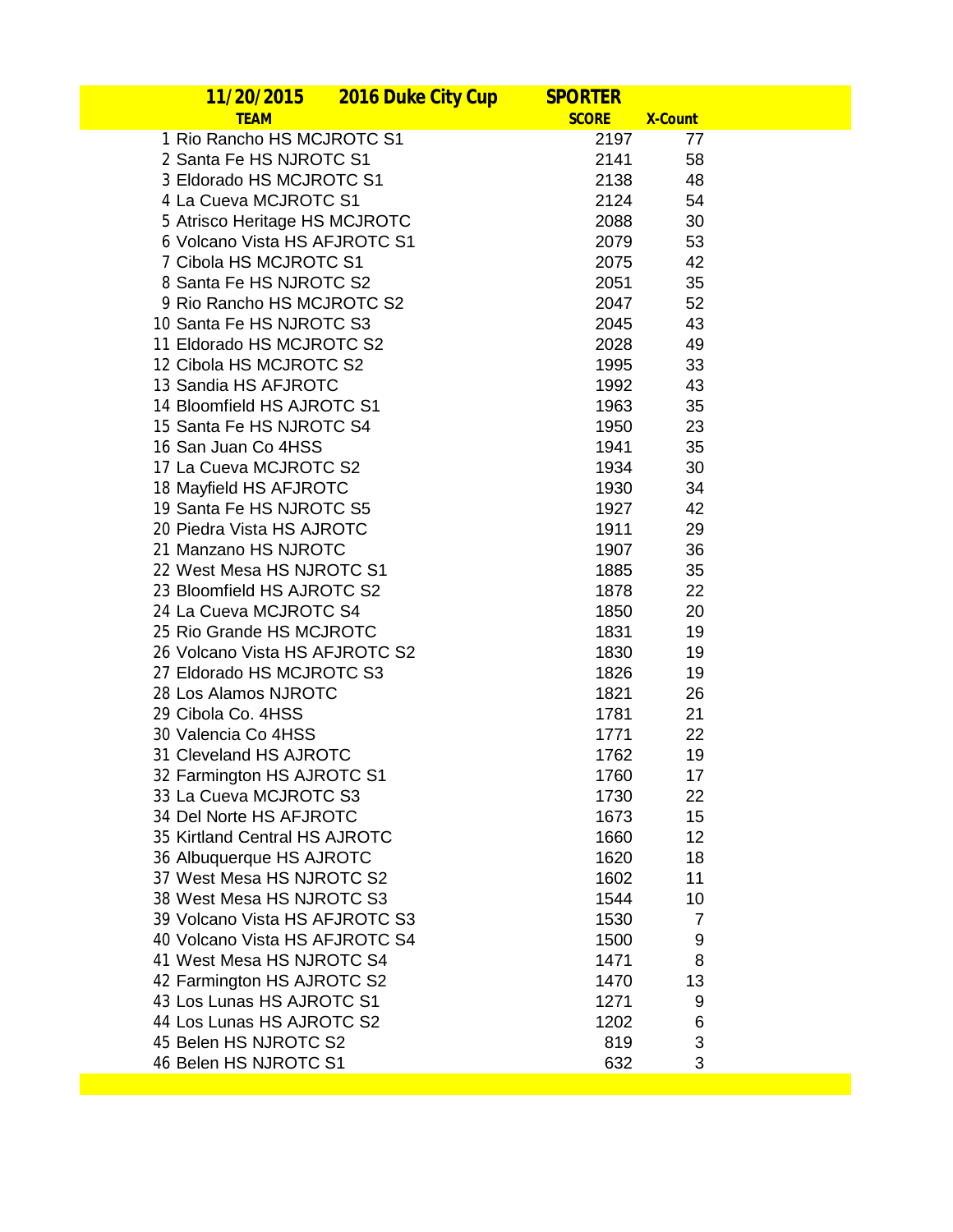| 2016 Duke City Cup<br><u>11/20/2015</u> | <b>SPORTER</b> |                |  |
|-----------------------------------------|----------------|----------------|--|
| <b>TEAM</b>                             | <b>SCORE</b>   | <b>X-Count</b> |  |
| 1 Rio Rancho HS MCJROTC S1              | 2197           | 77             |  |
| 2 Santa Fe HS NJROTC S1                 | 2141           | 58             |  |
| 3 Eldorado HS MCJROTC S1                | 2138           | 48             |  |
| 4 La Cueva MCJROTC S1                   | 2124           | 54             |  |
| 5 Atrisco Heritage HS MCJROTC           | 2088           | 30             |  |
| 6 Volcano Vista HS AFJROTC S1           | 2079           | 53             |  |
| 7 Cibola HS MCJROTC S1                  | 2075           | 42             |  |
| 8 Santa Fe HS NJROTC S2                 | 2051           | 35             |  |
| 9 Rio Rancho HS MCJROTC S2              | 2047           | 52             |  |
| 10 Santa Fe HS NJROTC S3                | 2045           | 43             |  |
| 11 Eldorado HS MCJROTC S2               | 2028           | 49             |  |
| 12 Cibola HS MCJROTC S2                 | 1995           | 33             |  |
| 13 Sandia HS AFJROTC                    | 1992           | 43             |  |
| 14 Bloomfield HS AJROTC S1              | 1963           | 35             |  |
| 15 Santa Fe HS NJROTC S4                | 1950           | 23             |  |
| 16 San Juan Co 4HSS                     | 1941           | 35             |  |
| 17 La Cueva MCJROTC S2                  | 1934           | 30             |  |
| 18 Mayfield HS AFJROTC                  | 1930           | 34             |  |
| 19 Santa Fe HS NJROTC S5                | 1927           | 42             |  |
| 20 Piedra Vista HS AJROTC               | 1911           | 29             |  |
| 21 Manzano HS NJROTC                    | 1907           | 36             |  |
| 22 West Mesa HS NJROTC S1               | 1885           | 35             |  |
| 23 Bloomfield HS AJROTC S2              | 1878           | 22             |  |
| 24 La Cueva MCJROTC S4                  | 1850           | 20             |  |
| 25 Rio Grande HS MCJROTC                | 1831           | 19             |  |
| 26 Volcano Vista HS AFJROTC S2          | 1830           | 19             |  |
| 27 Eldorado HS MCJROTC S3               | 1826           | 19             |  |
| 28 Los Alamos NJROTC                    | 1821           | 26             |  |
| 29 Cibola Co. 4HSS                      | 1781           | 21             |  |
| 30 Valencia Co 4HSS                     | 1771           | 22             |  |
| 31 Cleveland HS AJROTC                  | 1762           | 19             |  |
| 32 Farmington HS AJROTC S1              | 1760           | 17             |  |
| 33 La Cueva MCJROTC S3                  | 1730           | 22             |  |
| 34 Del Norte HS AFJROTC                 | 1673           | 15             |  |
| 35 Kirtland Central HS AJROTC           | 1660           | 12             |  |
| 36 Albuquerque HS AJROTC                | 1620           | 18             |  |
| 37 West Mesa HS NJROTC S2               | 1602           | 11             |  |
| 38 West Mesa HS NJROTC S3               | 1544           | 10             |  |
| 39 Volcano Vista HS AFJROTC S3          | 1530           | 7              |  |
| 40 Volcano Vista HS AFJROTC S4          | 1500           | 9              |  |
| 41 West Mesa HS NJROTC S4               | 1471           | 8              |  |
| 42 Farmington HS AJROTC S2              | 1470           | 13             |  |
| 43 Los Lunas HS AJROTC S1               | 1271           | 9              |  |
| 44 Los Lunas HS AJROTC S2               | 1202           | 6              |  |
| 45 Belen HS NJROTC S2                   | 819            | 3              |  |
| 46 Belen HS NJROTC S1                   | 632            | 3              |  |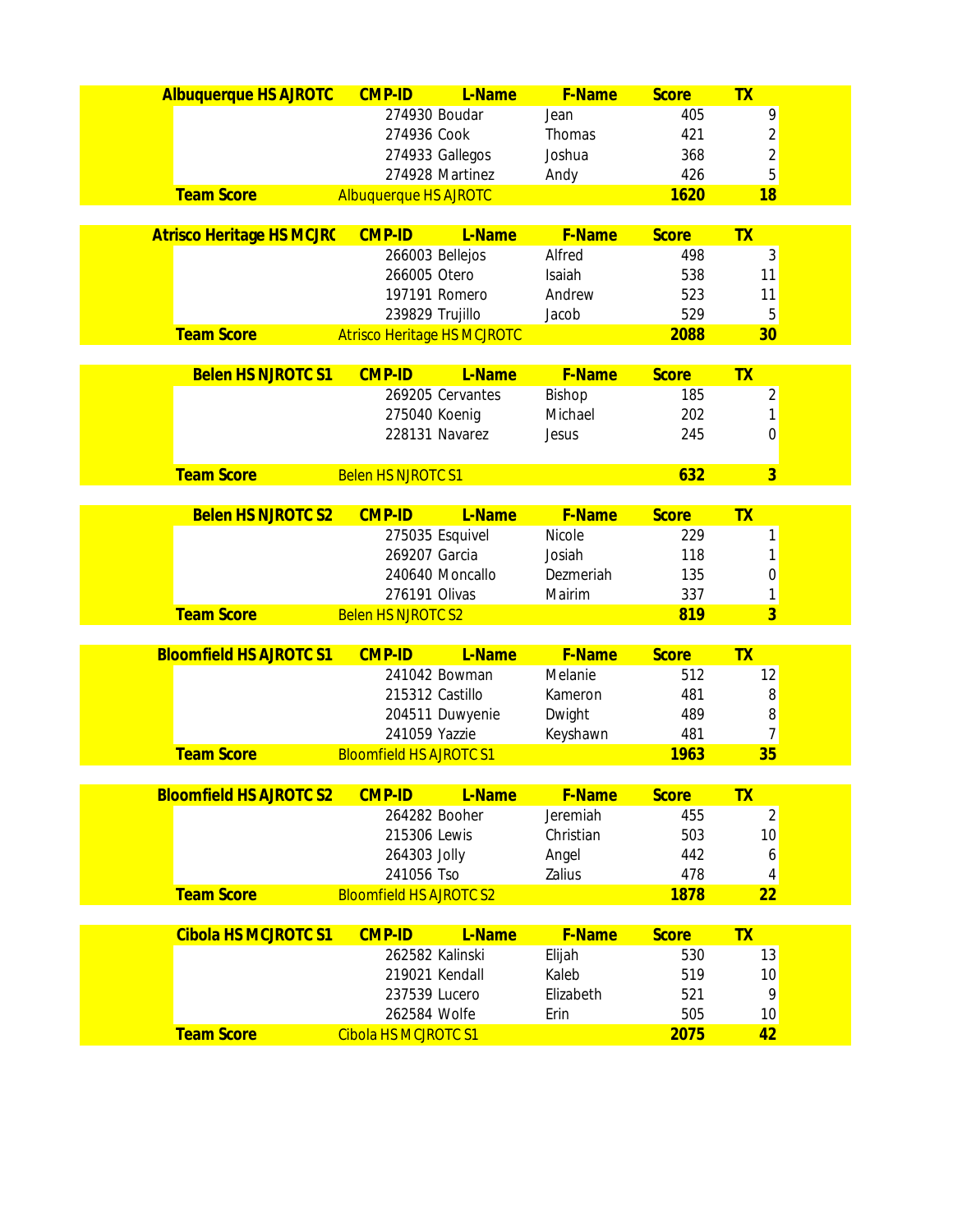| <b>Albuquerque HS AJROTC</b>     | <b>CMP-ID</b>                      | L-Name           | F-Name             | <b>Score</b>        | <b>TX</b>      |  |
|----------------------------------|------------------------------------|------------------|--------------------|---------------------|----------------|--|
|                                  | 274930 Boudar                      |                  | Jean               | 405                 | 9              |  |
|                                  | 274936 Cook                        |                  | Thomas             | 421                 | $\overline{c}$ |  |
|                                  | 274933 Gallegos                    |                  | Joshua             | 368                 | $\overline{c}$ |  |
|                                  |                                    | 274928 Martinez  | Andy               | 426                 | 5              |  |
| <b>Team Score</b>                | <b>Albuquerque HS AJROTC</b>       |                  |                    | 1620                | 18             |  |
|                                  |                                    |                  |                    |                     |                |  |
| <b>Atrisco Heritage HS MCJRC</b> | <b>CMP-ID</b>                      | L-Name           | <b>F-Name</b>      | <b>Score</b>        | <b>TX</b>      |  |
|                                  | 266003 Bellejos                    |                  | Alfred             | 498                 | 3              |  |
|                                  | 266005 Otero<br>197191 Romero      |                  | Isaiah<br>Andrew   | 538<br>523          | 11<br>11       |  |
|                                  | 239829 Trujillo                    |                  | Jacob              | 529                 | 5              |  |
| <b>Team Score</b>                | <b>Atrisco Heritage HS MCJROTC</b> |                  |                    | 2088                | 30             |  |
|                                  |                                    |                  |                    |                     |                |  |
| <b>Belen HS NJROTC S1</b>        | <b>CMP-ID</b>                      | L-Name           | F-Name             | <b>Score</b>        | <b>TX</b>      |  |
|                                  |                                    | 269205 Cervantes | Bishop             | 185                 | $\overline{2}$ |  |
|                                  | 275040 Koenig                      |                  | Michael            | 202                 | 1              |  |
|                                  | 228131 Navarez                     |                  | Jesus              | 245                 | 0              |  |
|                                  |                                    |                  |                    |                     |                |  |
| <b>Team Score</b>                | <b>Belen HS NJROTC S1</b>          |                  |                    | 632                 | $\overline{3}$ |  |
| <b>Belen HS NJROTC S2</b>        | <b>CMP-ID</b>                      | L-Name           | F-Name             | <b>Score</b>        | <b>TX</b>      |  |
|                                  | 275035 Esquivel                    |                  | Nicole             | 229                 |                |  |
|                                  | 269207 Garcia                      |                  | Josiah             | 118                 | 1<br>1         |  |
|                                  |                                    | 240640 Moncallo  | Dezmeriah          | 135                 | 0              |  |
|                                  | 276191 Olivas                      |                  | Mairim             | 337                 | 1              |  |
| <b>Team Score</b>                | <b>Belen HS NJROTC S2</b>          |                  |                    | 819                 | $\overline{3}$ |  |
|                                  |                                    |                  |                    |                     |                |  |
| <b>Bloomfield HS AJROTC S1</b>   | <b>CMP-ID</b>                      | L-Name           | F-Name             | <b>Score</b>        | <b>TX</b>      |  |
|                                  |                                    | 241042 Bowman    | Melanie            | 512                 | 12             |  |
|                                  | 215312 Castillo                    |                  | Kameron            | 481                 | 8              |  |
|                                  |                                    | 204511 Duwyenie  | Dwight             | 489                 | 8              |  |
|                                  | 241059 Yazzie                      |                  | Keyshawn           | 481                 | 7              |  |
| <b>Team Score</b>                | <b>Bloomfield HS AJROTC S1</b>     |                  |                    | 1963                | 35             |  |
| <b>Bloomfield HS AJROTC S2</b>   | <b>CMP-ID</b>                      |                  |                    |                     | <b>TX</b>      |  |
|                                  | 264282 Booher                      | L-Name           | F-Name<br>Jeremiah | <b>Score</b><br>455 | $\overline{2}$ |  |
|                                  | 215306 Lewis                       |                  | Christian          | 503                 | 10             |  |
|                                  | 264303 Jolly                       |                  | Angel              | 442                 | 6              |  |
|                                  | 241056 Tso                         |                  | Zalius             | 478                 | 4              |  |
| <b>Team Score</b>                | <b>Bloomfield HS AJROTC S2</b>     |                  |                    | 1878                | 22             |  |
|                                  |                                    |                  |                    |                     |                |  |
| <b>Cibola HS MCJROTC S1</b>      | <b>CMP-ID</b>                      | L-Name           | F-Name             | <b>Score</b>        | <b>TX</b>      |  |
|                                  | 262582 Kalinski                    |                  | Elijah             | 530                 | 13             |  |
|                                  | 219021 Kendall                     |                  | Kaleb              | 519                 | 10             |  |
|                                  | 237539 Lucero                      |                  | Elizabeth          | 521                 | 9              |  |
|                                  | 262584 Wolfe                       |                  | Erin               | 505                 | 10             |  |
| <b>Team Score</b>                | <b>Cibola HS MCJROTC S1</b>        |                  |                    | 2075                | 42             |  |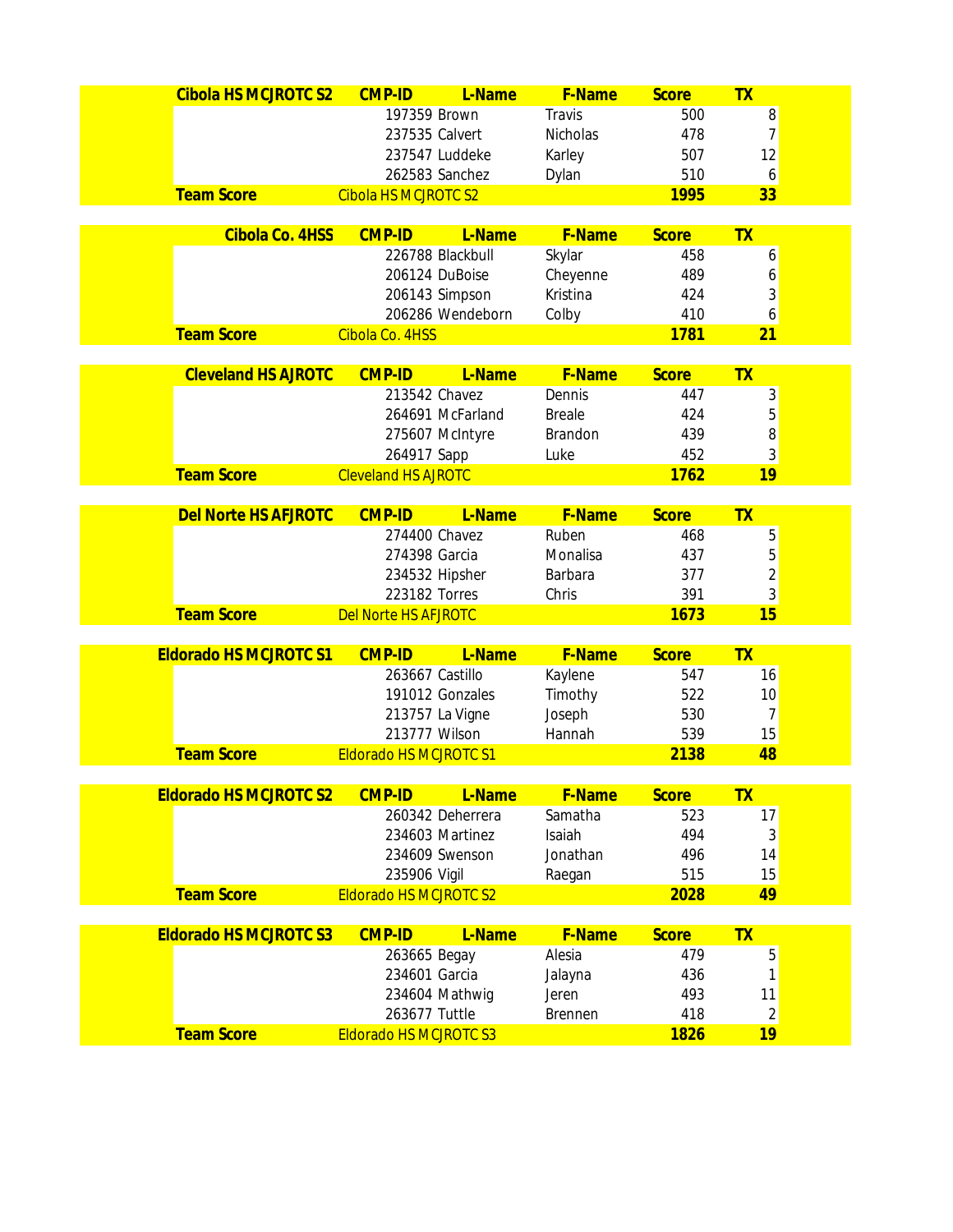| <b>Cibola HS MCJROTC S2</b>   | <b>CMP-ID</b>                                 | L-Name           | F-Name          | <b>Score</b> | <b>TX</b>               |  |
|-------------------------------|-----------------------------------------------|------------------|-----------------|--------------|-------------------------|--|
|                               | 197359 Brown                                  |                  | Travis          | 500          | 8                       |  |
|                               | 237535 Calvert                                |                  | <b>Nicholas</b> | 478          | $\overline{7}$          |  |
|                               |                                               | 237547 Luddeke   | Karley          | 507          | 12                      |  |
|                               |                                               | 262583 Sanchez   | Dylan           | 510          | 6                       |  |
| <b>Team Score</b>             | <b>Cibola HS MCJROTC S2</b>                   |                  |                 | 1995         | 33                      |  |
|                               |                                               |                  |                 |              |                         |  |
| Cibola Co. 4HSS               | <b>CMP-ID</b>                                 | L-Name           | F-Name          | <b>Score</b> | <b>TX</b>               |  |
|                               |                                               | 226788 Blackbull | Skylar          | 458          | 6                       |  |
|                               |                                               | 206124 DuBoise   | Cheyenne        | 489          | 6                       |  |
|                               |                                               | 206143 Simpson   | Kristina        | 424          | 3                       |  |
| <b>Team Score</b>             |                                               | 206286 Wendeborn | Colby           | 410<br>1781  | 6<br>21                 |  |
|                               | Cibola Co. 4HSS                               |                  |                 |              |                         |  |
| <b>Cleveland HS AJROTC</b>    | <b>CMP-ID</b>                                 | L-Name           | F-Name          | <b>Score</b> | TX                      |  |
|                               | 213542 Chavez                                 |                  | Dennis          | 447          | 3                       |  |
|                               |                                               | 264691 McFarland | <b>Breale</b>   | 424          | 5                       |  |
|                               |                                               | 275607 McIntyre  | Brandon         | 439          | 8                       |  |
|                               | 264917 Sapp                                   |                  | Luke            | 452          | 3                       |  |
| <b>Team Score</b>             | <b>Cleveland HS AJROTC</b>                    |                  |                 | 1762         | 19                      |  |
|                               |                                               |                  |                 |              |                         |  |
| <b>Del Norte HS AFJROTC</b>   | <b>CMP-ID</b>                                 | L-Name           | <b>F-Name</b>   | <b>Score</b> | <b>TX</b>               |  |
|                               | 274400 Chavez                                 |                  | Ruben           | 468          | 5                       |  |
|                               | 274398 Garcia                                 |                  | Monalisa        | 437          | 5                       |  |
|                               | 234532 Hipsher                                |                  | Barbara         | 377          | $\overline{c}$          |  |
|                               | 223182 Torres                                 |                  | Chris           | 391          | 3                       |  |
| <b>Team Score</b>             | <b>Del Norte HS AFJROTC</b>                   |                  |                 | 1673         | 15                      |  |
| <b>Eldorado HS MCJROTC S1</b> | <b>CMP-ID</b>                                 | L-Name           | F-Name          | <b>Score</b> | <b>TX</b>               |  |
|                               | 263667 Castillo                               |                  | Kaylene         | 547          | 16                      |  |
|                               |                                               | 191012 Gonzales  | Timothy         | 522          | 10                      |  |
|                               |                                               | 213757 La Vigne  | Joseph          | 530          | 7                       |  |
|                               | 213777 Wilson                                 |                  | Hannah          | 539          | 15                      |  |
| <b>Team Score</b>             | <b>Eldorado HS MCJROTC S1</b>                 |                  |                 | 2138         | 48                      |  |
|                               |                                               |                  |                 |              |                         |  |
| <b>Eldorado HS MCJROTC S2</b> | <b>CMP-ID</b>                                 | L-Name           | F-Name          | <b>Score</b> | <b>TX</b>               |  |
|                               |                                               | 260342 Deherrera | Samatha         | 523          | 17                      |  |
|                               |                                               | 234603 Martinez  | Isaiah          | 494          | 3                       |  |
|                               |                                               | 234609 Swenson   | Jonathan        | 496<br>515   | 14                      |  |
| <b>Team Score</b>             | 235906 Vigil<br><b>Eldorado HS MCJROTC S2</b> |                  | Raegan          | 2028         | 15<br>49                |  |
|                               |                                               |                  |                 |              |                         |  |
| <b>Eldorado HS MCJROTC S3</b> | <b>CMP-ID</b>                                 | L-Name           | F-Name          | <b>Score</b> | <b>TX</b>               |  |
|                               | 263665 Begay                                  |                  | Alesia          | 479          | 5                       |  |
|                               | 234601 Garcia                                 |                  | Jalayna         | 436          | 1                       |  |
|                               |                                               | 234604 Mathwig   | Jeren           | 493          | 11                      |  |
|                               | 263677 Tuttle                                 |                  | <b>Brennen</b>  | 418          | $\overline{\mathbf{c}}$ |  |
| <b>Team Score</b>             | <b>Eldorado HS MCJROTC S3</b>                 |                  |                 | 1826         | 19                      |  |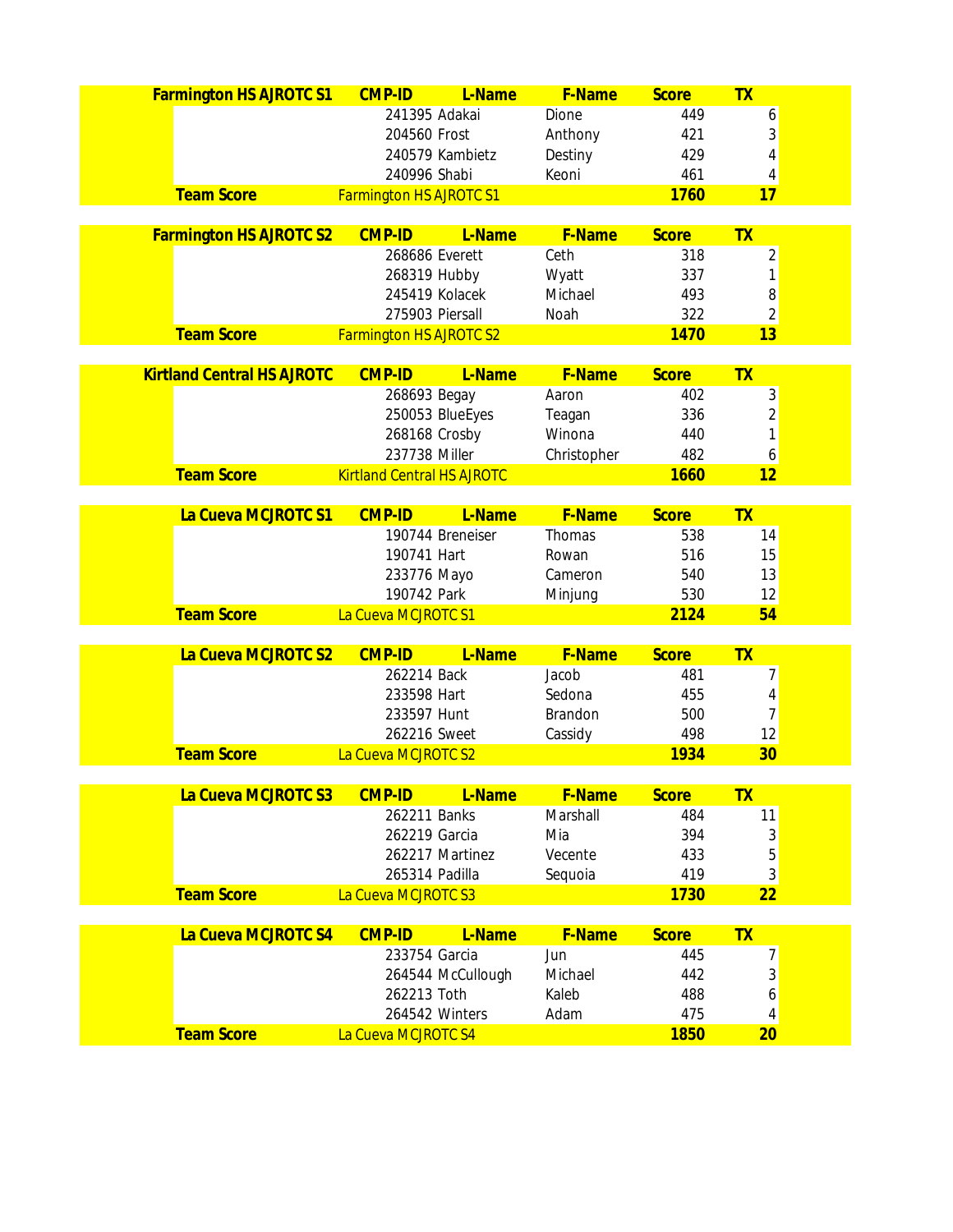| 241395 Adakai<br>Dione<br>449<br>6<br>3<br>204560 Frost<br>Anthony<br>421<br>4<br>240579 Kambietz<br>429<br>Destiny<br>461<br>240996 Shabi<br>Keoni<br>4<br><b>Team Score</b><br>1760<br><b>Farmington HS AJROTC S1</b><br>17<br><b>Farmington HS AJROTC S2</b><br><b>CMP-ID</b><br>L-Name<br><b>F-Name</b><br><b>Score</b><br><b>TX</b><br>Ceth<br>$\overline{\mathbf{c}}$<br>268686 Everett<br>318<br>1<br>268319 Hubby<br>337<br>Wyatt<br>8<br>245419 Kolacek<br>Michael<br>493<br>$\overline{c}$<br>275903 Piersall<br>322<br>Noah<br><b>Team Score</b><br>1470<br>13<br><b>Farmington HS AJROTC S2</b><br><b>Kirtland Central HS AJROTC</b><br><b>CMP-ID</b><br>L-Name<br>F-Name<br><b>Score</b><br><b>TX</b><br>3<br>268693 Begay<br>402<br>Aaron<br>$\overline{\mathbf{c}}$<br>250053 BlueEyes<br>336<br>Teagan<br>1<br>268168 Crosby<br>440<br>Winona<br>237738 Miller<br>482<br>6<br>Christopher<br><b>Team Score</b><br>1660<br><b>Kirtland Central HS AJROTC</b><br>12<br>La Cueva MCJROTC S1<br><b>F-Name</b><br><b>CMP-ID</b><br>L-Name<br><b>Score</b><br><b>TX</b><br>190744 Breneiser<br>Thomas<br>538<br>14<br>190741 Hart<br>516<br>15<br>Rowan<br>13<br>233776 Mayo<br>540<br>Cameron<br>190742 Park<br>530<br>12<br>Minjung<br><b>Team Score</b><br>2124<br>54<br>La Cueva MCJROTC S1<br>La Cueva MCJROTC S2<br>F-Name<br><b>CMP-ID</b><br>L-Name<br><b>Score</b><br><b>TX</b><br>7<br>262214 Back<br>Jacob<br>481<br>233598 Hart<br>4<br>Sedona<br>455<br>$\overline{7}$<br>233597 Hunt |
|--------------------------------------------------------------------------------------------------------------------------------------------------------------------------------------------------------------------------------------------------------------------------------------------------------------------------------------------------------------------------------------------------------------------------------------------------------------------------------------------------------------------------------------------------------------------------------------------------------------------------------------------------------------------------------------------------------------------------------------------------------------------------------------------------------------------------------------------------------------------------------------------------------------------------------------------------------------------------------------------------------------------------------------------------------------------------------------------------------------------------------------------------------------------------------------------------------------------------------------------------------------------------------------------------------------------------------------------------------------------------------------------------------------------------------------------------------------------------------------------------------------|
|                                                                                                                                                                                                                                                                                                                                                                                                                                                                                                                                                                                                                                                                                                                                                                                                                                                                                                                                                                                                                                                                                                                                                                                                                                                                                                                                                                                                                                                                                                              |
|                                                                                                                                                                                                                                                                                                                                                                                                                                                                                                                                                                                                                                                                                                                                                                                                                                                                                                                                                                                                                                                                                                                                                                                                                                                                                                                                                                                                                                                                                                              |
|                                                                                                                                                                                                                                                                                                                                                                                                                                                                                                                                                                                                                                                                                                                                                                                                                                                                                                                                                                                                                                                                                                                                                                                                                                                                                                                                                                                                                                                                                                              |
|                                                                                                                                                                                                                                                                                                                                                                                                                                                                                                                                                                                                                                                                                                                                                                                                                                                                                                                                                                                                                                                                                                                                                                                                                                                                                                                                                                                                                                                                                                              |
|                                                                                                                                                                                                                                                                                                                                                                                                                                                                                                                                                                                                                                                                                                                                                                                                                                                                                                                                                                                                                                                                                                                                                                                                                                                                                                                                                                                                                                                                                                              |
|                                                                                                                                                                                                                                                                                                                                                                                                                                                                                                                                                                                                                                                                                                                                                                                                                                                                                                                                                                                                                                                                                                                                                                                                                                                                                                                                                                                                                                                                                                              |
|                                                                                                                                                                                                                                                                                                                                                                                                                                                                                                                                                                                                                                                                                                                                                                                                                                                                                                                                                                                                                                                                                                                                                                                                                                                                                                                                                                                                                                                                                                              |
|                                                                                                                                                                                                                                                                                                                                                                                                                                                                                                                                                                                                                                                                                                                                                                                                                                                                                                                                                                                                                                                                                                                                                                                                                                                                                                                                                                                                                                                                                                              |
|                                                                                                                                                                                                                                                                                                                                                                                                                                                                                                                                                                                                                                                                                                                                                                                                                                                                                                                                                                                                                                                                                                                                                                                                                                                                                                                                                                                                                                                                                                              |
|                                                                                                                                                                                                                                                                                                                                                                                                                                                                                                                                                                                                                                                                                                                                                                                                                                                                                                                                                                                                                                                                                                                                                                                                                                                                                                                                                                                                                                                                                                              |
|                                                                                                                                                                                                                                                                                                                                                                                                                                                                                                                                                                                                                                                                                                                                                                                                                                                                                                                                                                                                                                                                                                                                                                                                                                                                                                                                                                                                                                                                                                              |
|                                                                                                                                                                                                                                                                                                                                                                                                                                                                                                                                                                                                                                                                                                                                                                                                                                                                                                                                                                                                                                                                                                                                                                                                                                                                                                                                                                                                                                                                                                              |
|                                                                                                                                                                                                                                                                                                                                                                                                                                                                                                                                                                                                                                                                                                                                                                                                                                                                                                                                                                                                                                                                                                                                                                                                                                                                                                                                                                                                                                                                                                              |
|                                                                                                                                                                                                                                                                                                                                                                                                                                                                                                                                                                                                                                                                                                                                                                                                                                                                                                                                                                                                                                                                                                                                                                                                                                                                                                                                                                                                                                                                                                              |
|                                                                                                                                                                                                                                                                                                                                                                                                                                                                                                                                                                                                                                                                                                                                                                                                                                                                                                                                                                                                                                                                                                                                                                                                                                                                                                                                                                                                                                                                                                              |
|                                                                                                                                                                                                                                                                                                                                                                                                                                                                                                                                                                                                                                                                                                                                                                                                                                                                                                                                                                                                                                                                                                                                                                                                                                                                                                                                                                                                                                                                                                              |
|                                                                                                                                                                                                                                                                                                                                                                                                                                                                                                                                                                                                                                                                                                                                                                                                                                                                                                                                                                                                                                                                                                                                                                                                                                                                                                                                                                                                                                                                                                              |
|                                                                                                                                                                                                                                                                                                                                                                                                                                                                                                                                                                                                                                                                                                                                                                                                                                                                                                                                                                                                                                                                                                                                                                                                                                                                                                                                                                                                                                                                                                              |
|                                                                                                                                                                                                                                                                                                                                                                                                                                                                                                                                                                                                                                                                                                                                                                                                                                                                                                                                                                                                                                                                                                                                                                                                                                                                                                                                                                                                                                                                                                              |
|                                                                                                                                                                                                                                                                                                                                                                                                                                                                                                                                                                                                                                                                                                                                                                                                                                                                                                                                                                                                                                                                                                                                                                                                                                                                                                                                                                                                                                                                                                              |
|                                                                                                                                                                                                                                                                                                                                                                                                                                                                                                                                                                                                                                                                                                                                                                                                                                                                                                                                                                                                                                                                                                                                                                                                                                                                                                                                                                                                                                                                                                              |
|                                                                                                                                                                                                                                                                                                                                                                                                                                                                                                                                                                                                                                                                                                                                                                                                                                                                                                                                                                                                                                                                                                                                                                                                                                                                                                                                                                                                                                                                                                              |
|                                                                                                                                                                                                                                                                                                                                                                                                                                                                                                                                                                                                                                                                                                                                                                                                                                                                                                                                                                                                                                                                                                                                                                                                                                                                                                                                                                                                                                                                                                              |
|                                                                                                                                                                                                                                                                                                                                                                                                                                                                                                                                                                                                                                                                                                                                                                                                                                                                                                                                                                                                                                                                                                                                                                                                                                                                                                                                                                                                                                                                                                              |
|                                                                                                                                                                                                                                                                                                                                                                                                                                                                                                                                                                                                                                                                                                                                                                                                                                                                                                                                                                                                                                                                                                                                                                                                                                                                                                                                                                                                                                                                                                              |
|                                                                                                                                                                                                                                                                                                                                                                                                                                                                                                                                                                                                                                                                                                                                                                                                                                                                                                                                                                                                                                                                                                                                                                                                                                                                                                                                                                                                                                                                                                              |
|                                                                                                                                                                                                                                                                                                                                                                                                                                                                                                                                                                                                                                                                                                                                                                                                                                                                                                                                                                                                                                                                                                                                                                                                                                                                                                                                                                                                                                                                                                              |
|                                                                                                                                                                                                                                                                                                                                                                                                                                                                                                                                                                                                                                                                                                                                                                                                                                                                                                                                                                                                                                                                                                                                                                                                                                                                                                                                                                                                                                                                                                              |
|                                                                                                                                                                                                                                                                                                                                                                                                                                                                                                                                                                                                                                                                                                                                                                                                                                                                                                                                                                                                                                                                                                                                                                                                                                                                                                                                                                                                                                                                                                              |
| 500<br>Brandon                                                                                                                                                                                                                                                                                                                                                                                                                                                                                                                                                                                                                                                                                                                                                                                                                                                                                                                                                                                                                                                                                                                                                                                                                                                                                                                                                                                                                                                                                               |
| 262216 Sweet<br>498<br>12<br>Cassidy                                                                                                                                                                                                                                                                                                                                                                                                                                                                                                                                                                                                                                                                                                                                                                                                                                                                                                                                                                                                                                                                                                                                                                                                                                                                                                                                                                                                                                                                         |
| <b>Team Score</b><br>La Cueva MCJROTC S2<br>1934<br>30                                                                                                                                                                                                                                                                                                                                                                                                                                                                                                                                                                                                                                                                                                                                                                                                                                                                                                                                                                                                                                                                                                                                                                                                                                                                                                                                                                                                                                                       |
|                                                                                                                                                                                                                                                                                                                                                                                                                                                                                                                                                                                                                                                                                                                                                                                                                                                                                                                                                                                                                                                                                                                                                                                                                                                                                                                                                                                                                                                                                                              |
| La Cueva MCJROTC S3<br><b>TX</b><br><b>CMP-ID</b><br>L-Name<br>F-Name<br><b>Score</b>                                                                                                                                                                                                                                                                                                                                                                                                                                                                                                                                                                                                                                                                                                                                                                                                                                                                                                                                                                                                                                                                                                                                                                                                                                                                                                                                                                                                                        |
| 262211 Banks<br>Marshall<br>484<br>11                                                                                                                                                                                                                                                                                                                                                                                                                                                                                                                                                                                                                                                                                                                                                                                                                                                                                                                                                                                                                                                                                                                                                                                                                                                                                                                                                                                                                                                                        |
| 3<br>262219 Garcia<br>394<br>Mia                                                                                                                                                                                                                                                                                                                                                                                                                                                                                                                                                                                                                                                                                                                                                                                                                                                                                                                                                                                                                                                                                                                                                                                                                                                                                                                                                                                                                                                                             |
| 5<br>262217 Martinez<br>Vecente<br>433<br>419<br>265314 Padilla                                                                                                                                                                                                                                                                                                                                                                                                                                                                                                                                                                                                                                                                                                                                                                                                                                                                                                                                                                                                                                                                                                                                                                                                                                                                                                                                                                                                                                              |
| 3<br>Sequoia<br><b>Team Score</b><br>1730<br>22<br>La Cueva MCJROTC S3                                                                                                                                                                                                                                                                                                                                                                                                                                                                                                                                                                                                                                                                                                                                                                                                                                                                                                                                                                                                                                                                                                                                                                                                                                                                                                                                                                                                                                       |
|                                                                                                                                                                                                                                                                                                                                                                                                                                                                                                                                                                                                                                                                                                                                                                                                                                                                                                                                                                                                                                                                                                                                                                                                                                                                                                                                                                                                                                                                                                              |
| La Cueva MCJROTC S4<br><b>CMP-ID</b><br>L-Name<br>F-Name<br><b>Score</b><br><b>TX</b>                                                                                                                                                                                                                                                                                                                                                                                                                                                                                                                                                                                                                                                                                                                                                                                                                                                                                                                                                                                                                                                                                                                                                                                                                                                                                                                                                                                                                        |
| 233754 Garcia<br>445<br>7<br>Jun                                                                                                                                                                                                                                                                                                                                                                                                                                                                                                                                                                                                                                                                                                                                                                                                                                                                                                                                                                                                                                                                                                                                                                                                                                                                                                                                                                                                                                                                             |
|                                                                                                                                                                                                                                                                                                                                                                                                                                                                                                                                                                                                                                                                                                                                                                                                                                                                                                                                                                                                                                                                                                                                                                                                                                                                                                                                                                                                                                                                                                              |
|                                                                                                                                                                                                                                                                                                                                                                                                                                                                                                                                                                                                                                                                                                                                                                                                                                                                                                                                                                                                                                                                                                                                                                                                                                                                                                                                                                                                                                                                                                              |
| 3<br>264544 McCullough<br>Michael<br>442                                                                                                                                                                                                                                                                                                                                                                                                                                                                                                                                                                                                                                                                                                                                                                                                                                                                                                                                                                                                                                                                                                                                                                                                                                                                                                                                                                                                                                                                     |
| 262213 Toth<br>Kaleb<br>488<br>6<br>264542 Winters<br>475<br>Adam<br>4                                                                                                                                                                                                                                                                                                                                                                                                                                                                                                                                                                                                                                                                                                                                                                                                                                                                                                                                                                                                                                                                                                                                                                                                                                                                                                                                                                                                                                       |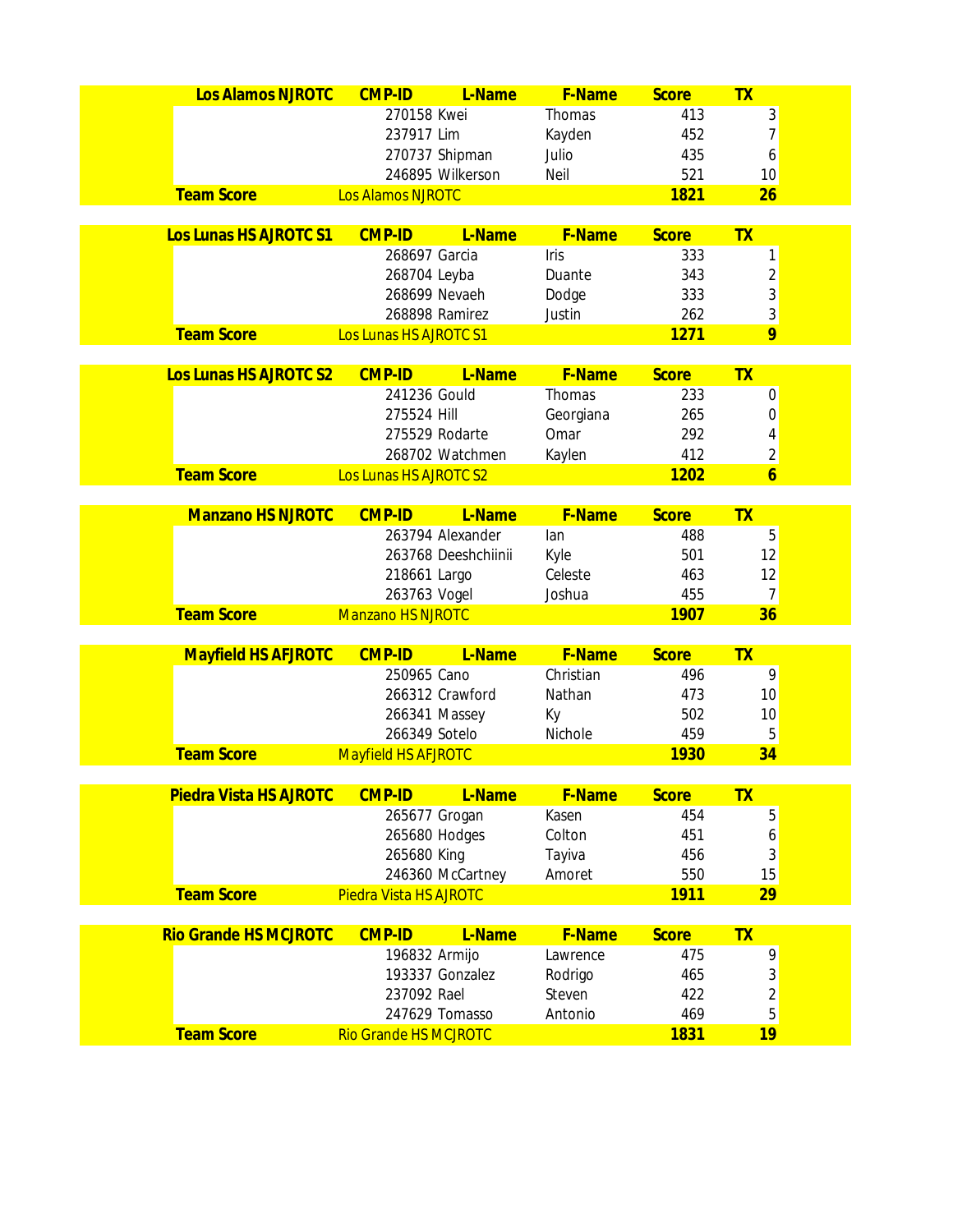| Los Alamos NJROTC             | <b>CMP-ID</b>                 | L-Name              | F-Name    | <b>Score</b> | <b>TX</b>               |
|-------------------------------|-------------------------------|---------------------|-----------|--------------|-------------------------|
|                               | 270158 Kwei                   |                     | Thomas    | 413          | 3                       |
|                               | 237917 Lim                    |                     | Kayden    | 452          | $\overline{7}$          |
|                               |                               | 270737 Shipman      | Julio     | 435          | 6                       |
|                               |                               | 246895 Wilkerson    | Neil      | 521          | 10                      |
| <b>Team Score</b>             | <b>Los Alamos NJROTC</b>      |                     |           | 1821         | 26                      |
|                               |                               |                     |           |              |                         |
| Los Lunas HS AJROTC S1        | <b>CMP-ID</b>                 | L-Name              | F-Name    | <b>Score</b> | <b>TX</b>               |
|                               | 268697 Garcia                 |                     | Iris      | 333          | 1                       |
|                               | 268704 Leyba                  |                     | Duante    | 343          | $\overline{\mathbf{c}}$ |
|                               |                               | 268699 Nevaeh       | Dodge     | 333          | 3                       |
|                               |                               | 268898 Ramirez      | Justin    | 262          | 3<br>9                  |
| <b>Team Score</b>             | Los Lunas HS AJROTC S1        |                     |           | 1271         |                         |
| Los Lunas HS AJROTC S2        | <b>CMP-ID</b>                 | L-Name              | F-Name    | <b>Score</b> | TX                      |
|                               | 241236 Gould                  |                     | Thomas    | 233          | 0                       |
|                               | 275524 Hill                   |                     | Georgiana | 265          | 0                       |
|                               |                               | 275529 Rodarte      | Omar      | 292          | 4                       |
|                               |                               | 268702 Watchmen     | Kaylen    | 412          | $\overline{\mathbf{c}}$ |
| <b>Team Score</b>             | Los Lunas HS AJROTC S2        |                     |           | 1202         | $\overline{6}$          |
|                               |                               |                     |           |              |                         |
| <b>Manzano HS NJROTC</b>      | <b>CMP-ID</b>                 | L-Name              | F-Name    | <b>Score</b> | <b>TX</b>               |
|                               |                               | 263794 Alexander    | lan       | 488          | 5                       |
|                               |                               | 263768 Deeshchiinii | Kyle      | 501          | 12                      |
|                               | 218661 Largo                  |                     | Celeste   | 463          | 12                      |
|                               | 263763 Vogel                  |                     | Joshua    | 455          | $\overline{7}$          |
| <b>Team Score</b>             | <b>Manzano HS NJROTC</b>      |                     |           | 1907         | 36                      |
| <b>Mayfield HS AFJROTC</b>    | <b>CMP-ID</b>                 | L-Name              | F-Name    | <b>Score</b> | <b>TX</b>               |
|                               | 250965 Cano                   |                     | Christian | 496          | 9                       |
|                               |                               | 266312 Crawford     | Nathan    | 473          | 10                      |
|                               |                               | 266341 Massey       | Кy        | 502          | 10                      |
|                               | 266349 Sotelo                 |                     | Nichole   | 459          | 5                       |
| <b>Team Score</b>             | <b>Mayfield HS AFJROTC</b>    |                     |           | 1930         | 34                      |
|                               |                               |                     |           |              |                         |
| <b>Piedra Vista HS AJROTC</b> | <b>CMP-ID</b>                 | L-Name              | F-Name    | <b>Score</b> | <b>TX</b>               |
|                               |                               | 265677 Grogan       | Kasen     | 454          | 5                       |
|                               |                               | 265680 Hodges       | Colton    | 451          | 6                       |
|                               | 265680 King                   |                     | Tayiva    | 456          | 3                       |
|                               |                               | 246360 McCartney    | Amoret    | 550          | 15                      |
| <b>Team Score</b>             | <b>Piedra Vista HS AJROTC</b> |                     |           | 1911         | 29                      |
| <b>Rio Grande HS MCJROTC</b>  | <b>CMP-ID</b>                 | L-Name              | F-Name    | <b>Score</b> | <b>TX</b>               |
|                               | 196832 Armijo                 |                     | Lawrence  | 475          | 9                       |
|                               |                               | 193337 Gonzalez     | Rodrigo   | 465          | 3                       |
|                               | 237092 Rael                   |                     | Steven    | 422          | $\overline{c}$          |
|                               |                               | 247629 Tomasso      | Antonio   | 469          | 5                       |
| <b>Team Score</b>             | <b>Rio Grande HS MCJROTC</b>  |                     |           | 1831         | 19                      |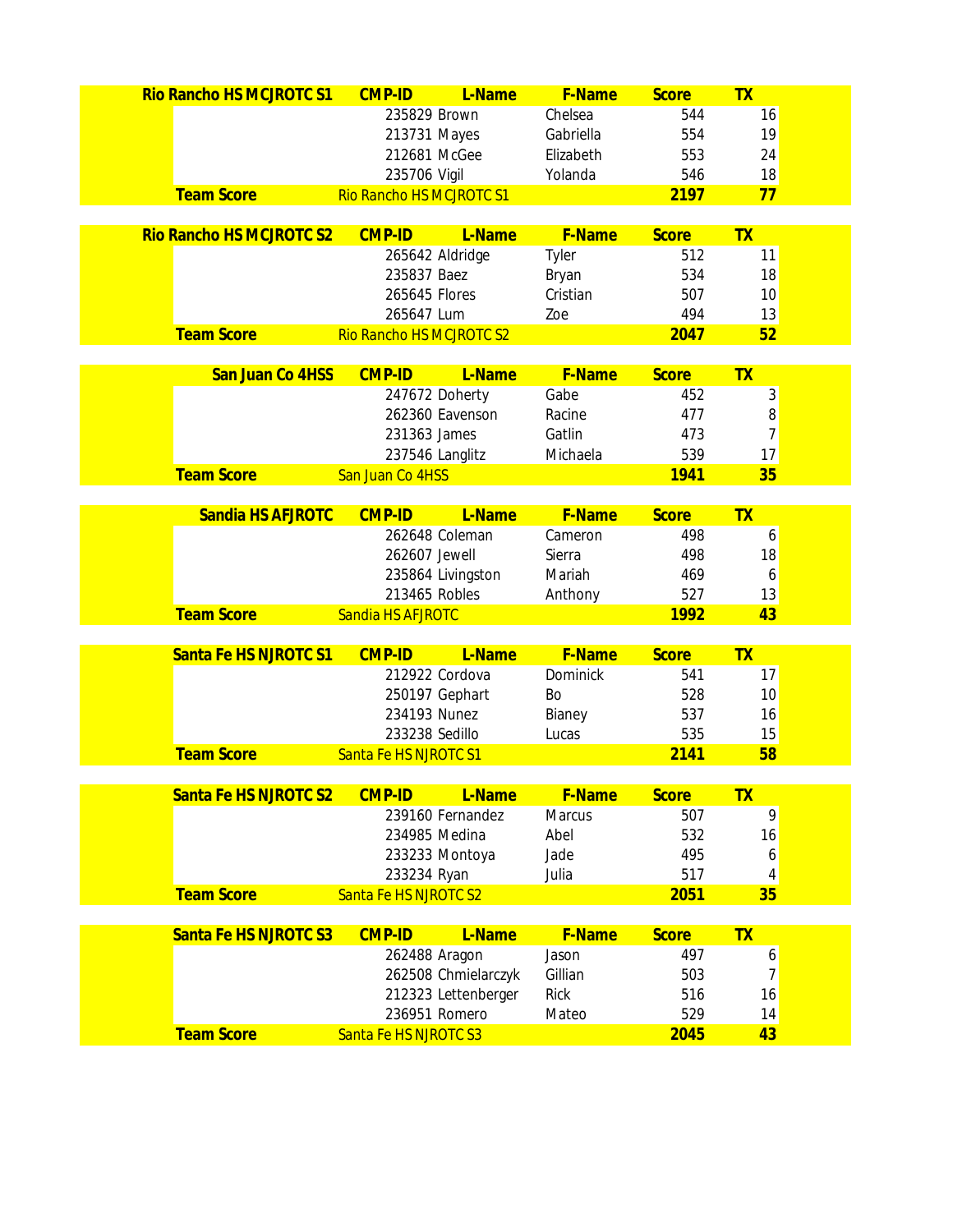| <b>Rio Rancho HS MCJROTC S1</b> | <b>CMP-ID</b>            | L-Name              | F-Name          | <b>Score</b> | <b>TX</b>                         |  |
|---------------------------------|--------------------------|---------------------|-----------------|--------------|-----------------------------------|--|
|                                 | 235829 Brown             |                     | Chelsea         | 544          | 16                                |  |
|                                 | 213731 Mayes             |                     | Gabriella       | 554          | 19                                |  |
|                                 | 212681 McGee             |                     | Elizabeth       | 553          | 24                                |  |
|                                 | 235706 Vigil             |                     | Yolanda         | 546          | 18                                |  |
| <b>Team Score</b>               | Rio Rancho HS MCJROTC S1 |                     |                 | 2197         | 77                                |  |
|                                 |                          |                     |                 |              |                                   |  |
| <b>Rio Rancho HS MCJROTC S2</b> | <b>CMP-ID</b>            | L-Name              | F-Name          | <b>Score</b> | <b>TX</b>                         |  |
|                                 | 265642 Aldridge          |                     | Tyler           | 512          | 11                                |  |
|                                 | 235837 Baez              |                     | Bryan           | 534          | 18                                |  |
|                                 | 265645 Flores            |                     | Cristian        | 507          | 10                                |  |
|                                 | 265647 Lum               |                     | Zoe             | 494<br>2047  | 13<br>52                          |  |
| <b>Team Score</b>               | Rio Rancho HS MCJROTC S2 |                     |                 |              |                                   |  |
| San Juan Co 4HSS                | <b>CMP-ID</b>            | L-Name              | F-Name          | <b>Score</b> | <b>TX</b>                         |  |
|                                 | 247672 Doherty           |                     | Gabe            | 452          | 3                                 |  |
|                                 |                          | 262360 Eavenson     | Racine          | 477          | 8                                 |  |
|                                 | 231363 James             |                     | Gatlin          | 473          | $\overline{7}$                    |  |
|                                 | 237546 Langlitz          |                     | Michaela        | 539          | 17                                |  |
| <b>Team Score</b>               | San Juan Co 4HSS         |                     |                 | 1941         | 35                                |  |
|                                 |                          |                     |                 |              |                                   |  |
| Sandia HS AFJROTC               | <b>CMP-ID</b>            | L-Name              | <b>F-Name</b>   | <b>Score</b> | <b>TX</b>                         |  |
|                                 |                          | 262648 Coleman      | Cameron         | 498          | 6                                 |  |
|                                 | 262607 Jewell            |                     | Sierra          | 498          | 18                                |  |
|                                 |                          | 235864 Livingston   | Mariah          | 469          | 6                                 |  |
|                                 | 213465 Robles            |                     | Anthony         | 527          | 13                                |  |
| <b>Team Score</b>               | Sandia HS AFJROTC        |                     |                 | 1992         | 43                                |  |
| Santa Fe HS NJROTC S1           | <b>CMP-ID</b>            | L-Name              | F-Name          | <b>Score</b> | <b>TX</b>                         |  |
|                                 | 212922 Cordova           |                     | <b>Dominick</b> | 541          | 17                                |  |
|                                 | 250197 Gephart           |                     | Bo              | 528          | 10                                |  |
|                                 | 234193 Nunez             |                     | Bianey          | 537          | 16                                |  |
|                                 | 233238 Sedillo           |                     | Lucas           | 535          | 15                                |  |
| <b>Team Score</b>               | Santa Fe HS NJROTC S1    |                     |                 | 2141         | 58                                |  |
|                                 |                          |                     |                 |              |                                   |  |
| Santa Fe HS NJROTC S2           | <b>CMP-ID</b>            | L-Name              | F-Name          | <b>Score</b> | <b>TX</b>                         |  |
|                                 |                          | 239160 Fernandez    | Marcus          | 507          | $\mathsf{g}% _{T}=\mathsf{g}_{T}$ |  |
|                                 | 234985 Medina            |                     | Abel            | 532          | 16                                |  |
|                                 |                          | 233233 Montoya      | Jade            | 495          | 6                                 |  |
|                                 | 233234 Ryan              |                     | Julia           | 517          | 4                                 |  |
| <b>Team Score</b>               | Santa Fe HS NJROTC S2    |                     |                 | 2051         | 35                                |  |
|                                 |                          |                     |                 |              |                                   |  |
| Santa Fe HS NJROTC S3           | <b>CMP-ID</b>            | L-Name              | <b>F-Name</b>   | <b>Score</b> | <b>TX</b>                         |  |
|                                 | 262488 Aragon            |                     | Jason           | 497          | 6                                 |  |
|                                 |                          | 262508 Chmielarczyk | Gillian         | 503          | 7                                 |  |
|                                 |                          | 212323 Lettenberger | <b>Rick</b>     | 516          | 16                                |  |
|                                 | 236951 Romero            |                     | Mateo           | 529          | 14                                |  |
| <b>Team Score</b>               | Santa Fe HS NJROTC S3    |                     |                 | 2045         | 43                                |  |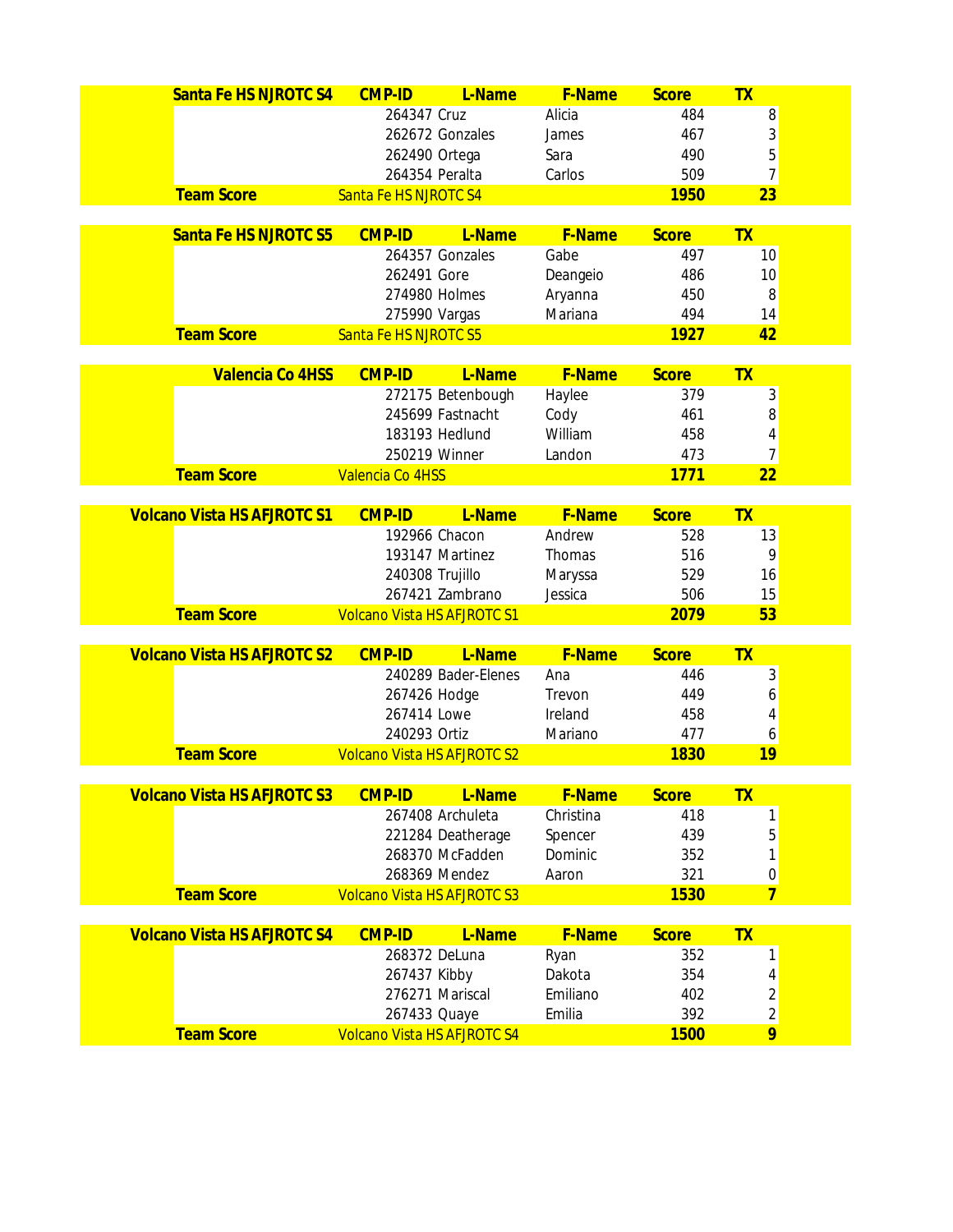| Santa Fe HS NJROTC S4              | <b>CMP-ID</b>                      | L-Name              | <b>F-Name</b> | <b>Score</b> | <b>TX</b>      |  |
|------------------------------------|------------------------------------|---------------------|---------------|--------------|----------------|--|
|                                    | 264347 Cruz                        |                     | Alicia        | 484          | 8              |  |
|                                    |                                    | 262672 Gonzales     | James         | 467          | 3              |  |
|                                    | 262490 Ortega                      |                     | Sara          | 490          | 5              |  |
|                                    | 264354 Peralta                     |                     | Carlos        | 509          | $\overline{7}$ |  |
| <b>Team Score</b>                  | Santa Fe HS NJROTC S4              |                     |               | 1950         | 23             |  |
|                                    |                                    |                     |               |              |                |  |
| Santa Fe HS NJROTC S5              | <b>CMP-ID</b>                      | L-Name              | F-Name        | <b>Score</b> | <b>TX</b>      |  |
|                                    |                                    | 264357 Gonzales     | Gabe          | 497          | 10             |  |
|                                    | 262491 Gore                        |                     | Deangeio      | 486          | 10             |  |
|                                    |                                    | 274980 Holmes       | Aryanna       | 450          | 8              |  |
|                                    | 275990 Vargas                      |                     | Mariana       | 494          | 14             |  |
| <b>Team Score</b>                  | Santa Fe HS NJROTC S5              |                     |               | 1927         | 42             |  |
| <b>Valencia Co 4HSS</b>            | <b>CMP-ID</b>                      | L-Name              | F-Name        | <b>Score</b> | TX             |  |
|                                    |                                    | 272175 Betenbough   | Haylee        | 379          | 3              |  |
|                                    |                                    | 245699 Fastnacht    | Cody          | 461          | 8              |  |
|                                    |                                    | 183193 Hedlund      | William       | 458          | 4              |  |
|                                    | 250219 Winner                      |                     | Landon        | 473          | $\overline{7}$ |  |
| <b>Team Score</b>                  | Valencia Co 4HSS                   |                     |               | 1771         | 22             |  |
|                                    |                                    |                     |               |              |                |  |
| <b>Volcano Vista HS AFJROTC S1</b> | <b>CMP-ID</b>                      | L-Name              | F-Name        | <b>Score</b> | <b>TX</b>      |  |
|                                    | 192966 Chacon                      |                     | Andrew        | 528          | 13             |  |
|                                    |                                    | 193147 Martinez     | Thomas        | 516          | 9              |  |
|                                    | 240308 Trujillo                    |                     | Maryssa       | 529          | 16             |  |
|                                    |                                    | 267421 Zambrano     | Jessica       | 506          | 15             |  |
| <b>Team Score</b>                  | <b>Volcano Vista HS AFJROTC S1</b> |                     |               | 2079         | 53             |  |
|                                    |                                    |                     |               |              |                |  |
| <b>Volcano Vista HS AFJROTC S2</b> | <b>CMP-ID</b>                      | L-Name              | F-Name        | <b>Score</b> | TX             |  |
|                                    |                                    | 240289 Bader-Elenes | Ana           | 446          | 3              |  |
|                                    | 267426 Hodge                       |                     | Trevon        | 449          | 6              |  |
|                                    | 267414 Lowe                        |                     | Ireland       | 458          | 4              |  |
|                                    | 240293 Ortiz                       |                     | Mariano       | 477          | 6              |  |
| <b>Team Score</b>                  | <b>Volcano Vista HS AFJROTC S2</b> |                     |               | 1830         | 19             |  |
| <b>Volcano Vista HS AFJROTC S3</b> | <b>CMP-ID</b>                      | L-Name              | <b>F-Name</b> | <b>Score</b> | <b>TX</b>      |  |
|                                    |                                    | 267408 Archuleta    | Christina     | 418          | 1              |  |
|                                    |                                    | 221284 Deatherage   | Spencer       | 439          | 5              |  |
|                                    |                                    | 268370 McFadden     | Dominic       | 352          | 1              |  |
|                                    |                                    | 268369 Mendez       | Aaron         | 321          | 0              |  |
| <b>Team Score</b>                  | <b>Volcano Vista HS AFJROTC S3</b> |                     |               | 1530         | $\overline{7}$ |  |
|                                    |                                    |                     |               |              |                |  |
| <b>Volcano Vista HS AFJROTC S4</b> | <b>CMP-ID</b>                      | L-Name              | F-Name        | <b>Score</b> | <b>TX</b>      |  |
|                                    |                                    | 268372 DeLuna       | Ryan          | 352          | 1              |  |
|                                    | 267437 Kibby                       |                     | Dakota        | 354          | 4              |  |
|                                    |                                    | 276271 Mariscal     | Emiliano      | 402          | $\overline{c}$ |  |
|                                    | 267433 Quaye                       |                     | Emilia        | 392          | $\overline{c}$ |  |
| <b>Team Score</b>                  | <b>Volcano Vista HS AFJROTC S4</b> |                     |               | 1500         | 9              |  |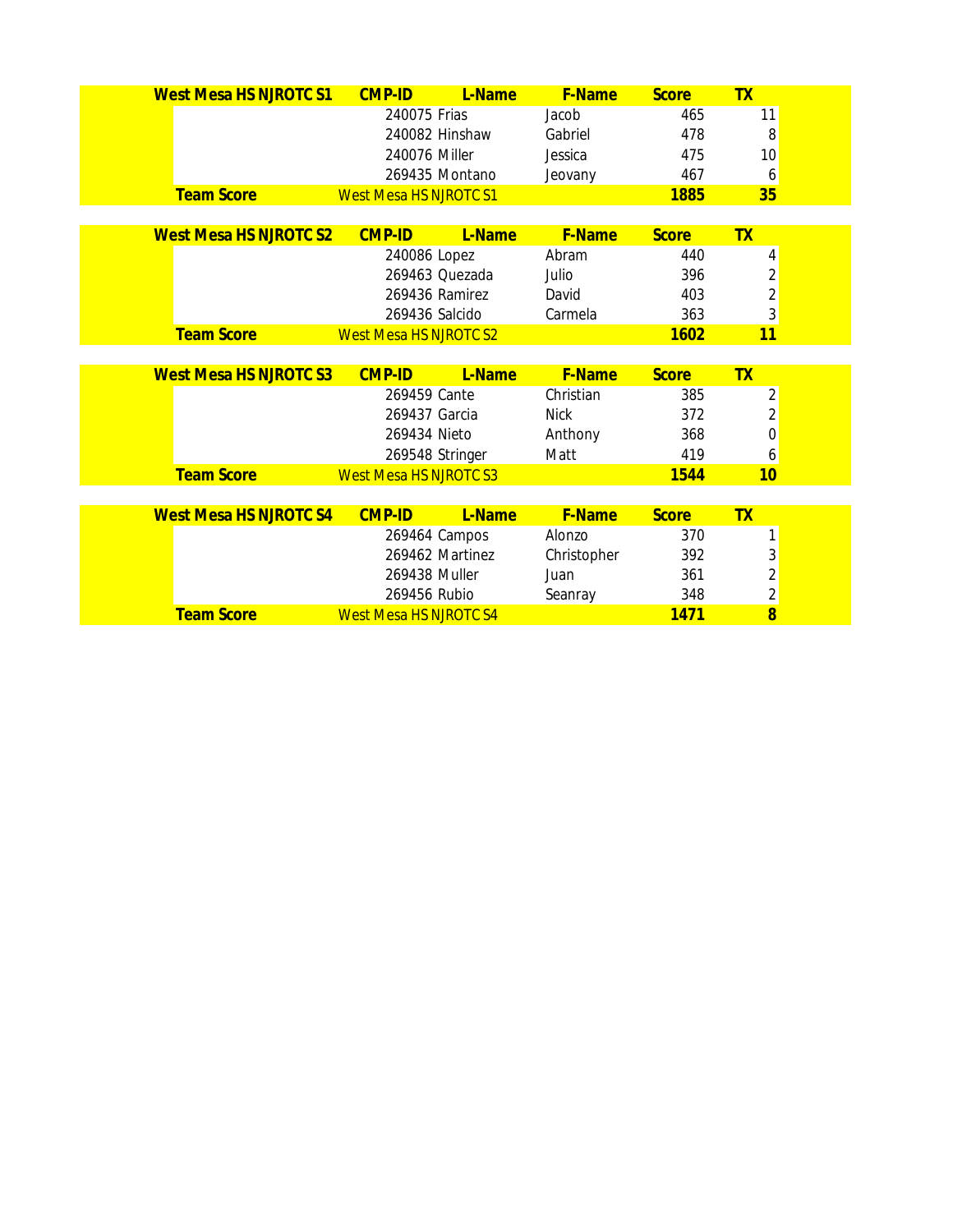| <b>West Mesa HS NJROTC S1</b> | <b>CMP-ID</b>                 | L-Name          | <b>F-Name</b> | <b>Score</b> | <b>TX</b>                        |
|-------------------------------|-------------------------------|-----------------|---------------|--------------|----------------------------------|
|                               | 240075 Frias                  |                 | Jacob         | 465          | 11                               |
|                               |                               | 240082 Hinshaw  | Gabriel       | 478          | 8                                |
|                               | 240076 Miller                 |                 | Jessica       | 475          | 10                               |
|                               |                               | 269435 Montano  | Jeovany       | 467          | 6                                |
| <b>Team Score</b>             | <b>West Mesa HS NJROTC S1</b> |                 |               | <b>1885</b>  | 35                               |
|                               |                               |                 |               |              |                                  |
| <b>West Mesa HS NJROTC S2</b> | <b>CMP-ID</b>                 | L-Name          | <b>F-Name</b> | <b>Score</b> | <b>TX</b>                        |
|                               | 240086 Lopez                  |                 | Abram         | 440          | 4                                |
|                               |                               | 269463 Quezada  | Julio         | 396          | $\overline{2}$                   |
|                               |                               | 269436 Ramirez  | David         | 403          | $\overline{2}$                   |
|                               | 269436 Salcido                |                 | Carmela       | 363          | 3                                |
| <b>Team Score</b>             | <b>West Mesa HS NJROTC S2</b> |                 |               | 1602         | 11                               |
|                               |                               |                 |               |              |                                  |
| <b>West Mesa HS NJROTC S3</b> | <b>CMP-ID</b>                 | L-Name          | <b>F-Name</b> | <b>Score</b> | <b>TX</b>                        |
|                               | 269459 Cante                  |                 | Christian     | 385          | $\overline{2}$                   |
|                               |                               |                 |               |              |                                  |
|                               | 269437 Garcia                 |                 | <b>Nick</b>   | 372          | $\overline{2}$                   |
|                               | 269434 Nieto                  |                 | Anthony       | 368          | 0                                |
|                               |                               | 269548 Stringer | Matt          | 419          | 6                                |
| <b>Team Score</b>             | <b>West Mesa HS NJROTC S3</b> |                 |               | 1544         | 10                               |
|                               |                               |                 |               |              |                                  |
| <b>West Mesa HS NJROTC S4</b> | <b>CMP-ID</b>                 | L-Name          | <b>F-Name</b> | <b>Score</b> | <b>TX</b>                        |
|                               |                               | 269464 Campos   | Alonzo        | 370          | 1                                |
|                               |                               | 269462 Martinez | Christopher   | 392          | 3                                |
|                               | 269438 Muller                 |                 | Juan          | 361          | $\overline{2}$                   |
| <b>Team Score</b>             | 269456 Rubio                  |                 | Seanray       | 348          | $\overline{c}$<br>$\overline{8}$ |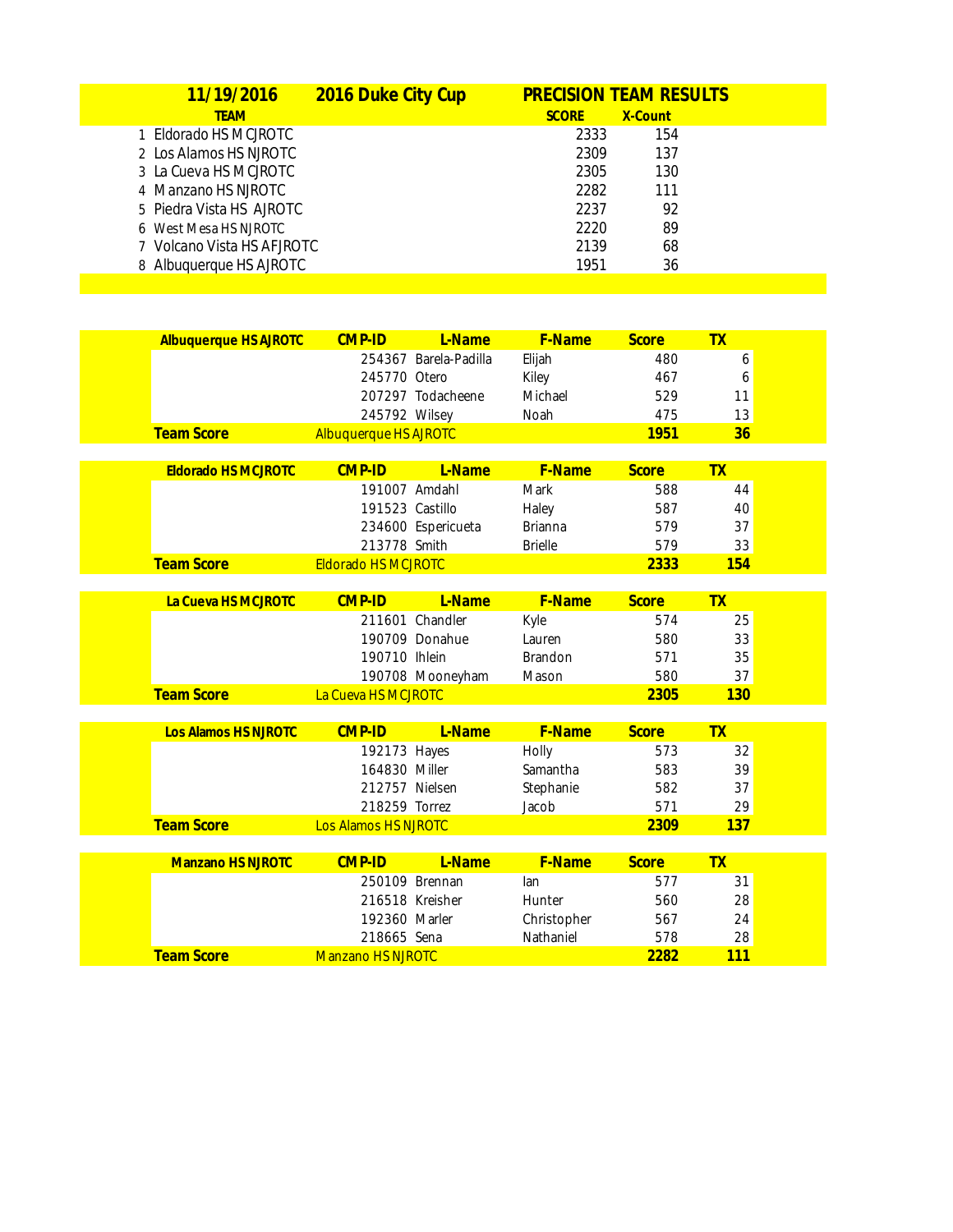| 11/19/2016                 | 2016 Duke City Cup |              | <b>PRECISION TEAM RESULTS</b> |  |
|----------------------------|--------------------|--------------|-------------------------------|--|
| <b>TEAM</b>                |                    | <b>SCORE</b> | X-Count                       |  |
| 1 Eldorado HS MCJROTC      |                    | 2333         | 154                           |  |
| 2 Los Alamos HS NJROTC     |                    | 2309         | 137                           |  |
| 3 La Cueva HS MCJROTC      |                    | 2305         | 130                           |  |
| 4 Manzano HS NJROTC        |                    | 2282         | 111                           |  |
| 5 Piedra Vista HS AJROTC   |                    | 2237         | 92                            |  |
| 6 West Mesa HS NJROTC      |                    | 2220         | 89                            |  |
| 7 Volcano Vista HS AFJROTC |                    | 2139         | 68                            |  |
| 8 Albuquerque HS AJROTC    |                    | 1951         | 36                            |  |
|                            |                    |              |                               |  |

| <b>Albuquerque HS AJROTC</b> | <b>CMP-ID</b>                           | L-Name                | F-Name         | <b>Score</b> | <b>TX</b> |
|------------------------------|-----------------------------------------|-----------------------|----------------|--------------|-----------|
|                              |                                         | 254367 Barela-Padilla | Elijah         | 480          | 6         |
|                              | 245770 Otero                            |                       | Kiley          | 467          | 6         |
|                              |                                         | 207297 Todacheene     | Michael        | 529          | 11        |
|                              | 245792 Wilsey                           |                       | Noah           | 475          | 13        |
| <b>Team Score</b>            | <b>Albuquerque HS AJROTC</b>            |                       |                | 1951         | 36        |
|                              |                                         |                       |                |              |           |
| <b>Eldorado HS MCJROTC</b>   | <b>CMP-ID</b>                           | L-Name                | <b>F-Name</b>  | <b>Score</b> | <b>TX</b> |
|                              | 191007 Amdahl                           |                       | Mark           | 588          | 44        |
|                              | 191523 Castillo                         |                       | Haley          | 587          | 40        |
|                              |                                         | 234600 Espericueta    | <b>Brianna</b> | 579          | 37        |
|                              | 213778 Smith                            |                       | <b>Brielle</b> | 579          | 33        |
| <b>Team Score</b>            | <b>Eldorado HS MCJROTC</b>              |                       |                | 2333         | 154       |
|                              |                                         |                       |                |              |           |
| La Cueva HS MCJROTC          | <b>CMP-ID</b>                           | L-Name                | <b>F-Name</b>  | <b>Score</b> | <b>TX</b> |
|                              |                                         | 211601 Chandler       | Kyle           | 574          | 25        |
|                              |                                         | 190709 Donahue        | Lauren         | 580          | 33        |
|                              | 190710 Ihlein                           |                       | <b>Brandon</b> | 571          | 35        |
|                              |                                         | 190708 Mooneyham      | Mason          | 580          | 37        |
| <b>Team Score</b>            | La Cueva HS MCJROTC                     |                       |                | 2305         | 130       |
|                              |                                         |                       |                |              |           |
|                              |                                         |                       |                |              |           |
| Los Alamos HS NJROTC         | <b>CMP-ID</b>                           | L-Name                | F-Name         | <b>Score</b> | <b>TX</b> |
|                              | 192173 Hayes                            |                       | Holly          | 573          | 32        |
|                              | 164830 Miller                           |                       | Samantha       | 583          | 39        |
|                              | 212757 Nielsen                          |                       | Stephanie      | 582          | 37        |
|                              | 218259 Torrez                           |                       | Jacob          | 571          | 29        |
| <b>Team Score</b>            | <b>Los Alamos HS NJROTC</b>             |                       |                | 2309         | 137       |
|                              |                                         |                       |                |              |           |
| <b>Manzano HS NJROTC</b>     | <b>CMP-ID</b>                           | L-Name                | <b>F-Name</b>  | <b>Score</b> | <b>TX</b> |
|                              |                                         | 250109 Brennan        | lan            | 577          | 31        |
|                              |                                         | 216518 Kreisher       | Hunter         | 560          | 28        |
|                              | 192360 Marler                           |                       | Christopher    | 567          | 24        |
| <b>Team Score</b>            | 218665 Sena<br><b>Manzano HS NJROTC</b> |                       | Nathaniel      | 578<br>2282  | 28<br>111 |